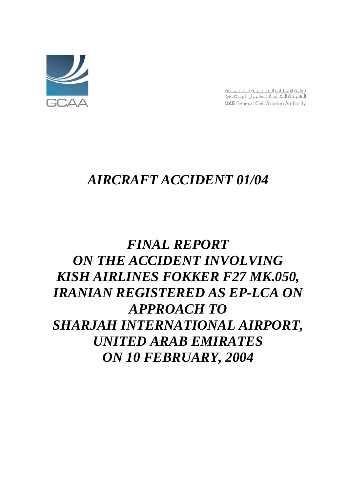

دولـة الامـارات الـمـربـيـة الـمـتـدـدة الهينة اللمامة للطيران الملدنج **UAE** General Civil Aviation Authority

# *AIRCRAFT ACCIDENT 01/04*

# *FINAL REPORT ON THE ACCIDENT INVOLVING KISH AIRLINES FOKKER F27 MK.050, IRANIAN REGISTERED AS EP-LCA ON APPROACH TO SHARJAH INTERNATIONAL AIRPORT, UNITED ARAB EMIRATES ON 10 FEBRUARY, 2004*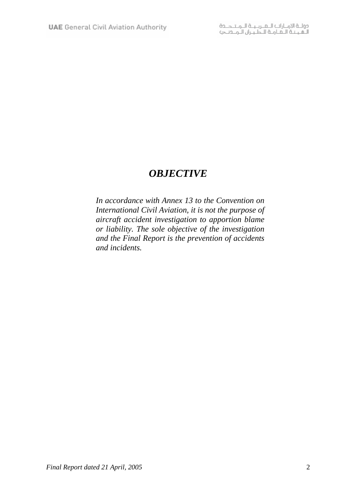# *OBJECTIVE*

*In accordance with Annex 13 to the Convention on International Civil Aviation, it is not the purpose of aircraft accident investigation to apportion blame or liability. The sole objective of the investigation and the Final Report is the prevention of accidents and incidents.*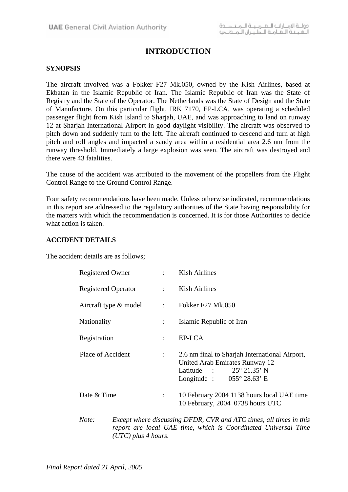# **INTRODUCTION**

#### **SYNOPSIS**

The aircraft involved was a Fokker F27 Mk.050, owned by the Kish Airlines, based at Ekbatan in the Islamic Republic of Iran. The Islamic Republic of Iran was the State of Registry and the State of the Operator. The Netherlands was the State of Design and the State of Manufacture. On this particular flight, IRK 7170, EP-LCA, was operating a scheduled passenger flight from Kish Island to Sharjah, UAE, and was approaching to land on runway 12 at Sharjah International Airport in good daylight visibility. The aircraft was observed to pitch down and suddenly turn to the left. The aircraft continued to descend and turn at high pitch and roll angles and impacted a sandy area within a residential area 2.6 nm from the runway threshold. Immediately a large explosion was seen. The aircraft was destroyed and there were 43 fatalities.

The cause of the accident was attributed to the movement of the propellers from the Flight Control Range to the Ground Control Range.

Four safety recommendations have been made. Unless otherwise indicated, recommendations in this report are addressed to the regulatory authorities of the State having responsibility for the matters with which the recommendation is concerned. It is for those Authorities to decide what action is taken.

#### **ACCIDENT DETAILS**

The accident details are as follows;

|  | <b>Registered Owner</b><br><b>Registered Operator</b> |                       |                             | Kish Airlines                                                                                                                                                            |
|--|-------------------------------------------------------|-----------------------|-----------------------------|--------------------------------------------------------------------------------------------------------------------------------------------------------------------------|
|  |                                                       |                       | $\mathcal{L} = \mathcal{L}$ | Kish Airlines                                                                                                                                                            |
|  |                                                       | Aircraft type & model | ÷                           | <b>Fokker F27 Mk.050</b>                                                                                                                                                 |
|  | <b>Nationality</b>                                    |                       | $\ddot{\cdot}$              | Islamic Republic of Iran                                                                                                                                                 |
|  | Registration                                          |                       | $\ddot{\cdot}$              | EP-LCA                                                                                                                                                                   |
|  | Place of Accident                                     |                       | $\mathbb{R}^n$              | 2.6 nm final to Sharjah International Airport,<br>United Arab Emirates Runway 12<br>Latitude : $25^{\circ} 21.35^{\circ} N$<br>Longitude : $055^{\circ} 28.63^{\circ}$ E |
|  | Date & Time                                           |                       |                             | 10 February 2004 1138 hours local UAE time<br>10 February, 2004 0738 hours UTC                                                                                           |
|  | Note:                                                 |                       |                             | Except where discussing DFDR, CVR and ATC times, all times in this<br>report are local UAE time, which is Coordinated Universal Time                                     |

*(UTC) plus 4 hours.*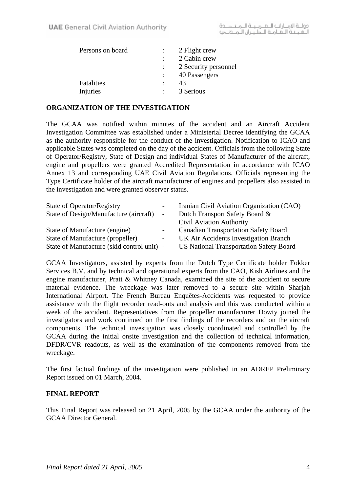| Persons on board | 2 Flight crew        |  |
|------------------|----------------------|--|
|                  | 2 Cabin crew         |  |
|                  | 2 Security personnel |  |
|                  | 40 Passengers        |  |
| Fatalities       | 43                   |  |
| Injuries         | 3 Serious            |  |
|                  |                      |  |

### **ORGANIZATION OF THE INVESTIGATION**

The GCAA was notified within minutes of the accident and an Aircraft Accident Investigation Committee was established under a Ministerial Decree identifying the GCAA as the authority responsible for the conduct of the investigation. Notification to ICAO and applicable States was completed on the day of the accident. Officials from the following State of Operator/Registry, State of Design and individual States of Manufacturer of the aircraft, engine and propellers were granted Accredited Representation in accordance with ICAO Annex 13 and corresponding UAE Civil Aviation Regulations. Officials representing the Type Certificate holder of the aircraft manufacturer of engines and propellers also assisted in the investigation and were granted observer status.

| <b>State of Operator/Registry</b>          |        | Iranian Civil Aviation Organization (CAO)      |
|--------------------------------------------|--------|------------------------------------------------|
| State of Design/Manufacture (aircraft)     | $\sim$ | Dutch Transport Safety Board &                 |
|                                            |        | <b>Civil Aviation Authority</b>                |
| State of Manufacture (engine)              |        | <b>Canadian Transportation Safety Board</b>    |
| State of Manufacture (propeller)           |        | UK Air Accidents Investigation Branch          |
| State of Manufacture (skid control unit) - |        | <b>US National Transportation Safety Board</b> |

GCAA Investigators, assisted by experts from the Dutch Type Certificate holder Fokker Services B.V. and by technical and operational experts from the CAO, Kish Airlines and the engine manufacturer, Pratt & Whitney Canada, examined the site of the accident to secure material evidence. The wreckage was later removed to a secure site within Sharjah International Airport. The French Bureau Enquêtes-Accidents was requested to provide assistance with the flight recorder read-outs and analysis and this was conducted within a week of the accident. Representatives from the propeller manufacturer Dowty joined the investigators and work continued on the first findings of the recorders and on the aircraft components. The technical investigation was closely coordinated and controlled by the GCAA during the initial onsite investigation and the collection of technical information, DFDR/CVR readouts, as well as the examination of the components removed from the wreckage.

The first factual findings of the investigation were published in an ADREP Preliminary Report issued on 01 March, 2004.

#### **FINAL REPORT**

This Final Report was released on 21 April, 2005 by the GCAA under the authority of the GCAA Director General.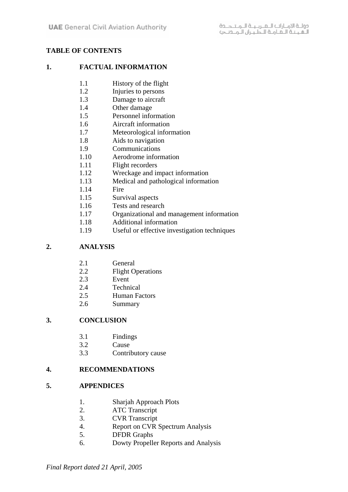# **TABLE OF CONTENTS**

#### **1. FACTUAL INFORMATION**

- 1.1 History of the flight
- 1.2 Injuries to persons
- 1.3 Damage to aircraft
- 1.4 Other damage
- 1.5 Personnel information
- 1.6 Aircraft information
- 1.7 Meteorological information
- 1.8 Aids to navigation
- 1.9 Communications
- 1.10 Aerodrome information
- 1.11 Flight recorders
- 1.12 Wreckage and impact information
- 1.13 Medical and pathological information
- 1.14 Fire
- 1.15 Survival aspects
- 1.16 Tests and research
- 1.17 Organizational and management information
- 1.18 Additional information
- 1.19 Useful or effective investigation techniques

# **2. ANALYSIS**

- 2.1 General
- 2.2 Flight Operations
- 2.3 Event
- 2.4 Technical
- 2.5 Human Factors
- 2.6 Summary

# **3. CONCLUSION**

- 3.1 Findings
- 3.2 Cause
- 3.3 Contributory cause

#### **4. RECOMMENDATIONS**

#### **5. APPENDICES**

- 1. Sharjah Approach Plots
- 2. ATC Transcript
- 3. CVR Transcript
- 4. Report on CVR Spectrum Analysis
- 5. DFDR Graphs
- 6. Dowty Propeller Reports and Analysis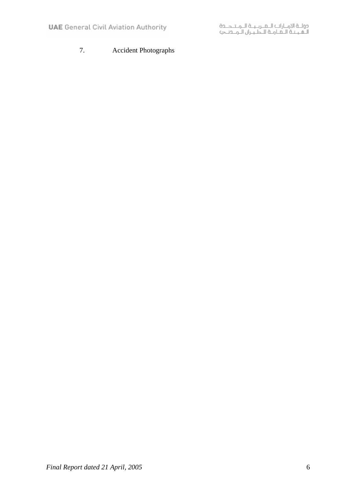# 7. Accident Photographs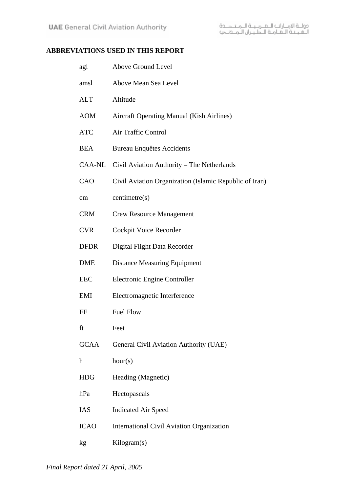# **ABBREVIATIONS USED IN THIS REPORT**

| agl         | Above Ground Level                                     |
|-------------|--------------------------------------------------------|
| amsl        | Above Mean Sea Level                                   |
| <b>ALT</b>  | Altitude                                               |
| <b>AOM</b>  | <b>Aircraft Operating Manual (Kish Airlines)</b>       |
| <b>ATC</b>  | Air Traffic Control                                    |
| <b>BEA</b>  | <b>Bureau Enquêtes Accidents</b>                       |
|             | CAA-NL Civil Aviation Authority - The Netherlands      |
| CAO         | Civil Aviation Organization (Islamic Republic of Iran) |
| cm          | centimetre(s)                                          |
| <b>CRM</b>  | <b>Crew Resource Management</b>                        |
| <b>CVR</b>  | Cockpit Voice Recorder                                 |
| <b>DFDR</b> | Digital Flight Data Recorder                           |
| <b>DME</b>  | <b>Distance Measuring Equipment</b>                    |
| <b>EEC</b>  | Electronic Engine Controller                           |
| EMI         | Electromagnetic Interference                           |
| FF          | <b>Fuel Flow</b>                                       |
| ft          | Feet                                                   |
| <b>GCAA</b> | General Civil Aviation Authority (UAE)                 |
| h           | hour(s)                                                |
| <b>HDG</b>  | Heading (Magnetic)                                     |
| hPa         | Hectopascals                                           |
| IAS         | <b>Indicated Air Speed</b>                             |
| <b>ICAO</b> | <b>International Civil Aviation Organization</b>       |
| kg          | Kilogram(s)                                            |
|             |                                                        |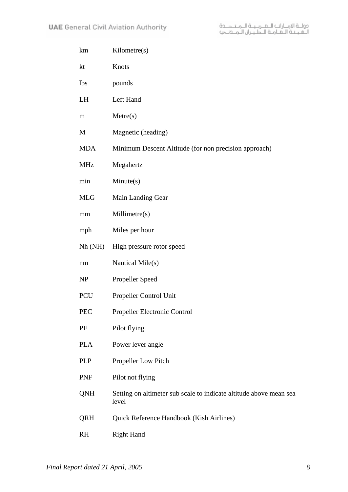- km Kilometre(s)
- kt Knots
- lbs pounds
- LH Left Hand
- m Metre(s)
- M Magnetic (heading)
- MDA Minimum Descent Altitude (for non precision approach)
- MHz Megahertz
- min Minute(s)
- MLG Main Landing Gear
- mm Millimetre(s)
- mph Miles per hour
- Nh (NH) High pressure rotor speed
- nm Nautical Mile(s)
- NP Propeller Speed
- PCU Propeller Control Unit
- PEC Propeller Electronic Control
- PF Pilot flying
- PLA Power lever angle
- PLP Propeller Low Pitch
- PNF Pilot not flying
- QNH Setting on altimeter sub scale to indicate altitude above mean sea level
- QRH Quick Reference Handbook (Kish Airlines)
- RH Right Hand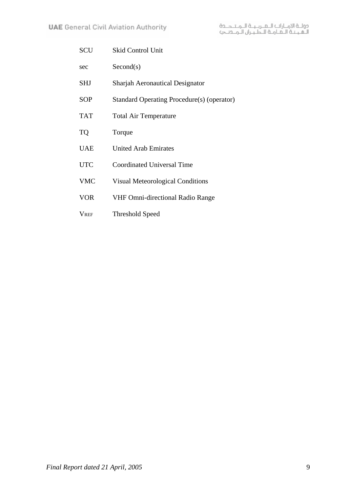| SCU         | <b>Skid Control Unit</b>                   |
|-------------|--------------------------------------------|
| sec         | Second(s)                                  |
| <b>SHJ</b>  | <b>Sharjah Aeronautical Designator</b>     |
| <b>SOP</b>  | Standard Operating Procedure(s) (operator) |
| <b>TAT</b>  | <b>Total Air Temperature</b>               |
| <b>TQ</b>   | Torque                                     |
| <b>UAE</b>  | <b>United Arab Emirates</b>                |
| <b>UTC</b>  | Coordinated Universal Time                 |
| <b>VMC</b>  | <b>Visual Meteorological Conditions</b>    |
| <b>VOR</b>  | <b>VHF Omni-directional Radio Range</b>    |
| <b>VREF</b> | Threshold Speed                            |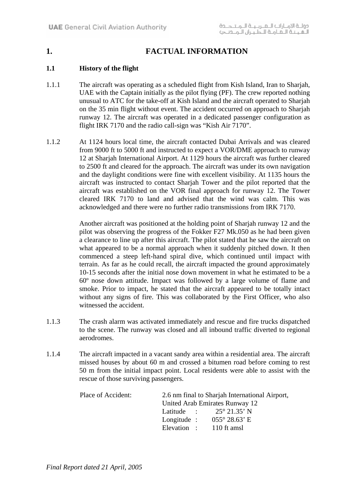# **1. FACTUAL INFORMATION**

# **1.1 History of the flight**

- 1.1.1 The aircraft was operating as a scheduled flight from Kish Island, Iran to Sharjah, UAE with the Captain initially as the pilot flying (PF). The crew reported nothing unusual to ATC for the take-off at Kish Island and the aircraft operated to Sharjah on the 35 min flight without event. The accident occurred on approach to Sharjah runway 12. The aircraft was operated in a dedicated passenger configuration as flight IRK 7170 and the radio call-sign was "Kish Air 7170".
- 1.1.2 At 1124 hours local time, the aircraft contacted Dubai Arrivals and was cleared from 9000 ft to 5000 ft and instructed to expect a VOR/DME approach to runway 12 at Sharjah International Airport. At 1129 hours the aircraft was further cleared to 2500 ft and cleared for the approach. The aircraft was under its own navigation and the daylight conditions were fine with excellent visibility. At 1135 hours the aircraft was instructed to contact Sharjah Tower and the pilot reported that the aircraft was established on the VOR final approach for runway 12. The Tower cleared IRK 7170 to land and advised that the wind was calm. This was acknowledged and there were no further radio transmissions from IRK 7170.

Another aircraft was positioned at the holding point of Sharjah runway 12 and the pilot was observing the progress of the Fokker F27 Mk.050 as he had been given a clearance to line up after this aircraft. The pilot stated that he saw the aircraft on what appeared to be a normal approach when it suddenly pitched down. It then commenced a steep left-hand spiral dive, which continued until impact with terrain. As far as he could recall, the aircraft impacted the ground approximately 10-15 seconds after the initial nose down movement in what he estimated to be a 60º nose down attitude. Impact was followed by a large volume of flame and smoke. Prior to impact, he stated that the aircraft appeared to be totally intact without any signs of fire. This was collaborated by the First Officer, who also witnessed the accident.

- 1.1.3 The crash alarm was activated immediately and rescue and fire trucks dispatched to the scene. The runway was closed and all inbound traffic diverted to regional aerodromes.
- 1.1.4 The aircraft impacted in a vacant sandy area within a residential area. The aircraft missed houses by about 60 m and crossed a bitumen road before coming to rest 50 m from the initial impact point. Local residents were able to assist with the rescue of those surviving passengers.

| Place of Accident: | 2.6 nm final to Sharjah International Airport, |                                           |  |  |
|--------------------|------------------------------------------------|-------------------------------------------|--|--|
|                    |                                                | United Arab Emirates Runway 12            |  |  |
|                    |                                                | Latitude : $25^{\circ} 21.35^{\circ} N$   |  |  |
|                    |                                                | Longitude : $055^{\circ} 28.63^{\circ}$ E |  |  |
|                    |                                                | Elevation : 110 ft amsl                   |  |  |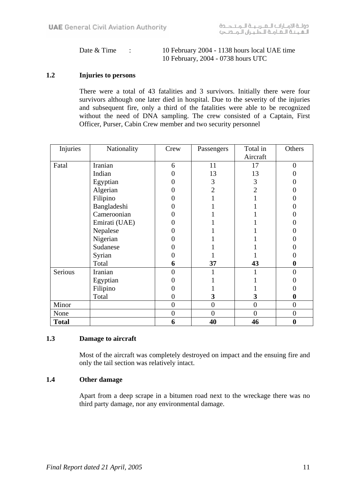| Date & Time | 10 February 2004 - 1138 hours local UAE time |
|-------------|----------------------------------------------|
|             | 10 February, 2004 - 0738 hours UTC           |

### **1.2 Injuries to persons**

There were a total of 43 fatalities and 3 survivors. Initially there were four survivors although one later died in hospital. Due to the severity of the injuries and subsequent fire, only a third of the fatalities were able to be recognized without the need of DNA sampling. The crew consisted of a Captain, First Officer, Purser, Cabin Crew member and two security personnel

| Injuries     | Nationality   | Crew           | Passengers     | Total in       | Others         |
|--------------|---------------|----------------|----------------|----------------|----------------|
|              |               |                |                | Aircraft       |                |
| Fatal        | Iranian       | 6              | 11             | 17             | $\theta$       |
|              | Indian        |                | 13             | 13             |                |
|              | Egyptian      |                | 3              | 3              |                |
|              | Algerian      |                | $\overline{2}$ | $\overline{2}$ |                |
|              | Filipino      |                |                |                |                |
|              | Bangladeshi   |                |                |                |                |
|              | Cameroonian   |                |                |                |                |
|              | Emirati (UAE) |                |                |                |                |
|              | Nepalese      |                |                |                |                |
|              | Nigerian      |                |                |                |                |
|              | Sudanese      |                |                |                |                |
|              | Syrian        |                |                |                |                |
|              | Total         | 6              | 37             | 43             | 0              |
| Serious      | Iranian       | 0              |                |                | 0              |
|              | Egyptian      |                |                |                |                |
|              | Filipino      |                |                |                |                |
|              | Total         | 0              | 3              | 3              | 0              |
| Minor        |               | $\overline{0}$ | $\overline{0}$ | $\overline{0}$ | $\overline{0}$ |
| None         |               | $\overline{0}$ | $\overline{0}$ | $\theta$       | $\overline{0}$ |
| <b>Total</b> |               | 6              | 40             | 46             | 0              |

#### **1.3 Damage to aircraft**

Most of the aircraft was completely destroyed on impact and the ensuing fire and only the tail section was relatively intact.

#### **1.4 Other damage**

Apart from a deep scrape in a bitumen road next to the wreckage there was no third party damage, nor any environmental damage.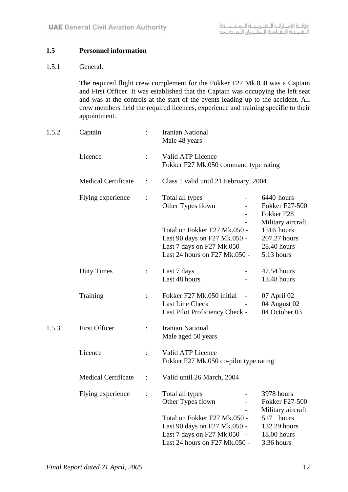# **1.5 Personnel information**

#### 1.5.1 General.

The required flight crew complement for the Fokker F27 Mk.050 was a Captain and First Officer. It was established that the Captain was occupying the left seat and was at the controls at the start of the events leading up to the accident. All crew members held the required licences, experience and training specific to their appointment.

| 1.5.2 | Captain                    |                | <b>Iranian National</b><br>Male 48 years                                                                                     |                                                                        |
|-------|----------------------------|----------------|------------------------------------------------------------------------------------------------------------------------------|------------------------------------------------------------------------|
|       | Licence                    | $\ddot{\cdot}$ | Valid ATP Licence<br>Fokker F27 Mk.050 command type rating                                                                   |                                                                        |
|       | <b>Medical Certificate</b> | $\ddot{\cdot}$ | Class 1 valid until 21 February, 2004                                                                                        |                                                                        |
|       | Flying experience          | $\ddot{\cdot}$ | Total all types<br>Other Types flown                                                                                         | 6440 hours<br><b>Fokker F27-500</b><br>Fokker F28<br>Military aircraft |
|       |                            |                | Total on Fokker F27 Mk.050 -<br>Last 90 days on F27 Mk.050 -<br>Last 7 days on F27 Mk.050 -<br>Last 24 hours on F27 Mk.050 - | 1516 hours<br>207.27 hours<br>28.40 hours<br>5.13 hours                |
|       | <b>Duty Times</b>          | $\div$         | Last 7 days<br>Last 48 hours                                                                                                 | 47.54 hours<br>13.48 hours                                             |
|       | Training                   | $\ddot{\cdot}$ | Fokker F27 Mk.050 initial<br>Last Line Check<br>Last Pilot Proficiency Check -                                               | 07 April 02<br>04 August 02<br>04 October 03                           |
| 1.5.3 | <b>First Officer</b>       |                | <b>Iranian National</b><br>Male aged 50 years                                                                                |                                                                        |
|       | Licence                    | $\vdots$       | Valid ATP Licence<br>Fokker F27 Mk.050 co-pilot type rating                                                                  |                                                                        |
|       | <b>Medical Certificate</b> |                | Valid until 26 March, 2004                                                                                                   |                                                                        |
|       | Flying experience          |                | Total all types<br>Other Types flown                                                                                         | 3978 hours<br><b>Fokker F27-500</b><br>Military aircraft               |
|       |                            |                | Total on Fokker F27 Mk.050 -<br>Last 90 days on F27 Mk.050 -<br>Last 7 days on F27 Mk.050 -<br>Last 24 hours on F27 Mk.050 - | 517 hours<br>132.29 hours<br>18.00 hours<br>3.36 hours                 |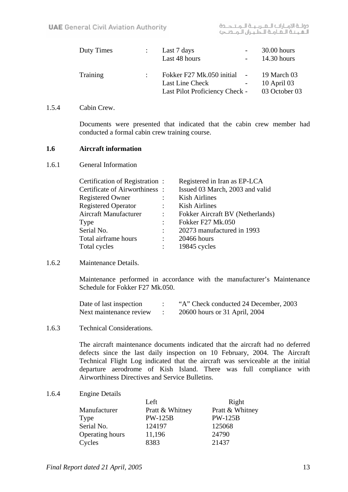| Duty Times | Last 7 days<br>Last 48 hours                                                                 | $30.00$ hours<br>$14.30$ hours |
|------------|----------------------------------------------------------------------------------------------|--------------------------------|
| Training   | Fokker F27 Mk.050 initial - 19 March 03<br>Last Line Check<br>Last Pilot Proficiency Check - | $10$ April 03<br>03 October 03 |

#### 1.5.4 Cabin Crew.

Documents were presented that indicated that the cabin crew member had conducted a formal cabin crew training course.

#### **1.6 Aircraft information**

1.6.1 General Information

| Certification of Registration: |                      | Registered in Iran as EP-LCA     |
|--------------------------------|----------------------|----------------------------------|
| Certificate of Airworthiness:  |                      | Issued 03 March, 2003 and valid  |
| <b>Registered Owner</b>        |                      | <b>Kish Airlines</b>             |
| <b>Registered Operator</b>     |                      | <b>Kish Airlines</b>             |
| Aircraft Manufacturer          |                      | Fokker Aircraft BV (Netherlands) |
| Type                           |                      | <b>Fokker F27 Mk.050</b>         |
| Serial No.                     | ÷                    | 20273 manufactured in 1993       |
| Total airframe hours           | $\ddot{\phantom{a}}$ | 20466 hours                      |
| Total cycles                   | $\ddot{\phantom{a}}$ | 19845 cycles                     |
|                                |                      |                                  |

1.6.2 Maintenance Details.

Maintenance performed in accordance with the manufacturer's Maintenance Schedule for Fokker F27 Mk 050

| Date of last inspection | "A" Check conducted 24 December, 2003 |
|-------------------------|---------------------------------------|
| Next maintenance review | 20600 hours or 31 April, 2004         |

1.6.3 Technical Considerations.

The aircraft maintenance documents indicated that the aircraft had no deferred defects since the last daily inspection on 10 February, 2004. The Aircraft Technical Flight Log indicated that the aircraft was serviceable at the initial departure aerodrome of Kish Island. There was full compliance with Airworthiness Directives and Service Bulletins.

1.6.4 Engine Details

|                 | Left            | Right           |
|-----------------|-----------------|-----------------|
| Manufacturer    | Pratt & Whitney | Pratt & Whitney |
| Type            | <b>PW-125B</b>  | <b>PW-125B</b>  |
| Serial No.      | 124197          | 125068          |
| Operating hours | 11,196          | 24790           |
| Cycles          | 8383            | 21437           |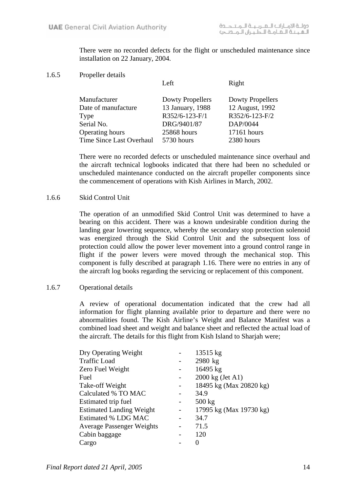There were no recorded defects for the flight or unscheduled maintenance since installation on 22 January, 2004.

1.6.5 Propeller details

Left Right

| Manufacturer             | <b>Dowty Propellers</b> | Dowty Propellers |
|--------------------------|-------------------------|------------------|
| Date of manufacture      | 13 January, 1988        | 12 August, 1992  |
| Type                     | R352/6-123-F/1          | R352/6-123-F/2   |
| Serial No.               | DRG/9401/87             | DAP/0044         |
| <b>Operating hours</b>   | 25868 hours             | 17161 hours      |
| Time Since Last Overhaul | 5730 hours              | 2380 hours       |

There were no recorded defects or unscheduled maintenance since overhaul and the aircraft technical logbooks indicated that there had been no scheduled or unscheduled maintenance conducted on the aircraft propeller components since the commencement of operations with Kish Airlines in March, 2002.

#### 1.6.6 Skid Control Unit

The operation of an unmodified Skid Control Unit was determined to have a bearing on this accident. There was a known undesirable condition during the landing gear lowering sequence, whereby the secondary stop protection solenoid was energized through the Skid Control Unit and the subsequent loss of protection could allow the power lever movement into a ground control range in flight if the power levers were moved through the mechanical stop. This component is fully described at paragraph 1.16. There were no entries in any of the aircraft log books regarding the servicing or replacement of this component.

#### 1.6.7 Operational details

A review of operational documentation indicated that the crew had all information for flight planning available prior to departure and there were no abnormalities found. The Kish Airline's Weight and Balance Manifest was a combined load sheet and weight and balance sheet and reflected the actual load of the aircraft. The details for this flight from Kish Island to Sharjah were;

| Dry Operating Weight             |   | 13515 kg                |
|----------------------------------|---|-------------------------|
| <b>Traffic Load</b>              |   | 2980 kg                 |
| Zero Fuel Weight                 |   | 16495 kg                |
| Fuel                             |   | 2000 kg (Jet A1)        |
| Take-off Weight                  |   | 18495 kg (Max 20820 kg) |
| Calculated % TO MAC              |   | 34.9                    |
| Estimated trip fuel              |   | $500 \text{ kg}$        |
| <b>Estimated Landing Weight</b>  | - | 17995 kg (Max 19730 kg) |
| Estimated % LDG MAC              |   | 34.7                    |
| <b>Average Passenger Weights</b> |   | 71.5                    |
| Cabin baggage                    |   | 120                     |
| Cargo                            |   | 0                       |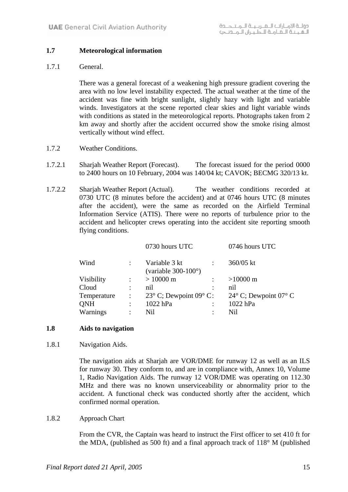#### **1.7 Meteorological information**

#### 1.7.1 General.

There was a general forecast of a weakening high pressure gradient covering the area with no low level instability expected. The actual weather at the time of the accident was fine with bright sunlight, slightly hazy with light and variable winds. Investigators at the scene reported clear skies and light variable winds with conditions as stated in the meteorological reports. Photographs taken from 2 km away and shortly after the accident occurred show the smoke rising almost vertically without wind effect.

- 1.7.2 Weather Conditions.
- 1.7.2.1 Sharjah Weather Report (Forecast). The forecast issued for the period 0000 to 2400 hours on 10 February, 2004 was 140/04 kt; CAVOK; BECMG 320/13 kt.
- 1.7.2.2 Sharjah Weather Report (Actual). The weather conditions recorded at 0730 UTC (8 minutes before the accident) and at 0746 hours UTC (8 minutes after the accident), were the same as recorded on the Airfield Terminal Information Service (ATIS). There were no reports of turbulence prior to the accident and helicopter crews operating into the accident site reporting smooth flying conditions.

|             |                      | 0730 hours UTC                                 |                      | 0746 hours UTC                 |
|-------------|----------------------|------------------------------------------------|----------------------|--------------------------------|
| Wind        |                      | Variable 3 kt<br>(variable $300-100^{\circ}$ ) |                      | 360/05 kt                      |
| Visibility  |                      | $> 10000 \text{ m}$                            |                      | $>10000 \text{ m}$             |
| Cloud       | $\ddot{\cdot}$       | nil                                            |                      | nil                            |
| Temperature | $\ddot{\cdot}$       | 23 $\degree$ C; Dewpoint 09 $\degree$ C:       |                      | $24^{\circ}$ C; Dewpoint 07° C |
| QNH         | $\ddot{\cdot}$       | 1022 hPa                                       | $\ddot{\phantom{a}}$ | 1022 hPa                       |
| Warnings    | $\ddot{\phantom{a}}$ | Nil                                            |                      | Nil                            |
|             |                      |                                                |                      |                                |

#### **1.8 Aids to navigation**

1.8.1 Navigation Aids.

The navigation aids at Sharjah are VOR/DME for runway 12 as well as an ILS for runway 30. They conform to, and are in compliance with, Annex 10, Volume 1, Radio Navigation Aids. The runway 12 VOR/DME was operating on 112.30 MHz and there was no known unserviceability or abnormality prior to the accident. A functional check was conducted shortly after the accident, which confirmed normal operation.

#### 1.8.2 Approach Chart

From the CVR, the Captain was heard to instruct the First officer to set 410 ft for the MDA, (published as 500 ft) and a final approach track of  $118^{\circ}$  M (published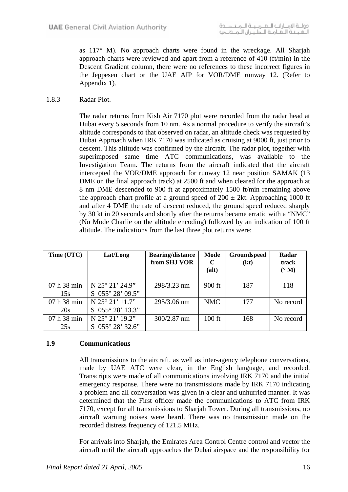as 117° M). No approach charts were found in the wreckage. All Sharjah approach charts were reviewed and apart from a reference of 410 (ft/min) in the Descent Gradient column, there were no references to these incorrect figures in the Jeppesen chart or the UAE AIP for VOR/DME runway 12. (Refer to Appendix 1).

1.8.3 Radar Plot.

The radar returns from Kish Air 7170 plot were recorded from the radar head at Dubai every 5 seconds from 10 nm. As a normal procedure to verify the aircraft's altitude corresponds to that observed on radar, an altitude check was requested by Dubai Approach when IRK 7170 was indicated as cruising at 9000 ft, just prior to descent. This altitude was confirmed by the aircraft. The radar plot, together with superimposed same time ATC communications, was available to the Investigation Team. The returns from the aircraft indicated that the aircraft intercepted the VOR/DME approach for runway 12 near position SAMAK (13 DME on the final approach track) at 2500 ft and when cleared for the approach at 8 nm DME descended to 900 ft at approximately 1500 ft/min remaining above the approach chart profile at a ground speed of  $200 \pm 2kt$ . Approaching 1000 ft and after 4 DME the rate of descent reduced, the ground speed reduced sharply by 30 kt in 20 seconds and shortly after the returns became erratic with a "NMC" (No Mode Charlie on the altitude encoding) followed by an indication of 100 ft altitude. The indications from the last three plot returns were:

| Time (UTC)  | Lat/Long           | <b>Bearing/distance</b><br>from SHJ VOR | Mode<br>$\mathbf C$<br>(alt) | Groundspeed<br>(kt) | Radar<br>track<br>$(^{\circ}M)$ |
|-------------|--------------------|-----------------------------------------|------------------------------|---------------------|---------------------------------|
| 07 h 38 min | N 25° 21' 24.9"    | 298/3.23 nm                             | $900$ ft                     | 187                 | 118                             |
| 15s         | $S$ 055° 28' 09.5" |                                         |                              |                     |                                 |
| 07 h 38 min | N 25° 21' 11.7"    | 295/3.06 nm                             | <b>NMC</b>                   | 177                 | No record                       |
| 20s         | S 055° 28' 13.3"   |                                         |                              |                     |                                 |
| 07 h 38 min | N 25° 21' 19.2"    | $300/2.87$ nm                           | $100$ ft                     | 168                 | No record                       |
| 25s         | $S$ 055° 28' 32.6" |                                         |                              |                     |                                 |

# **1.9 Communications**

All transmissions to the aircraft, as well as inter-agency telephone conversations, made by UAE ATC were clear, in the English language, and recorded. Transcripts were made of all communications involving IRK 7170 and the initial emergency response. There were no transmissions made by IRK 7170 indicating a problem and all conversation was given in a clear and unhurried manner. It was determined that the First officer made the communications to ATC from IRK 7170, except for all transmissions to Sharjah Tower. During all transmissions, no aircraft warning noises were heard. There was no transmission made on the recorded distress frequency of 121.5 MHz.

For arrivals into Sharjah, the Emirates Area Control Centre control and vector the aircraft until the aircraft approaches the Dubai airspace and the responsibility for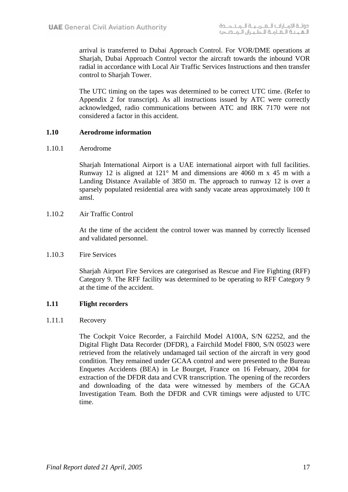arrival is transferred to Dubai Approach Control. For VOR/DME operations at Sharjah, Dubai Approach Control vector the aircraft towards the inbound VOR radial in accordance with Local Air Traffic Services Instructions and then transfer control to Sharjah Tower.

The UTC timing on the tapes was determined to be correct UTC time. (Refer to Appendix 2 for transcript). As all instructions issued by ATC were correctly acknowledged, radio communications between ATC and IRK 7170 were not considered a factor in this accident.

#### **1.10 Aerodrome information**

1.10.1 Aerodrome

Sharjah International Airport is a UAE international airport with full facilities. Runway 12 is aligned at 121° M and dimensions are 4060 m x 45 m with a Landing Distance Available of 3850 m. The approach to runway 12 is over a sparsely populated residential area with sandy vacate areas approximately 100 ft amsl.

1.10.2 Air Traffic Control

At the time of the accident the control tower was manned by correctly licensed and validated personnel.

1.10.3 Fire Services

Sharjah Airport Fire Services are categorised as Rescue and Fire Fighting (RFF) Category 9. The RFF facility was determined to be operating to RFF Category 9 at the time of the accident.

# **1.11 Flight recorders**

1.11.1 Recovery

The Cockpit Voice Recorder, a Fairchild Model A100A, S/N 62252, and the Digital Flight Data Recorder (DFDR), a Fairchild Model F800, S/N 05023 were retrieved from the relatively undamaged tail section of the aircraft in very good condition. They remained under GCAA control and were presented to the Bureau Enquetes Accidents (BEA) in Le Bourget, France on 16 February, 2004 for extraction of the DFDR data and CVR transcription. The opening of the recorders and downloading of the data were witnessed by members of the GCAA Investigation Team. Both the DFDR and CVR timings were adjusted to UTC time.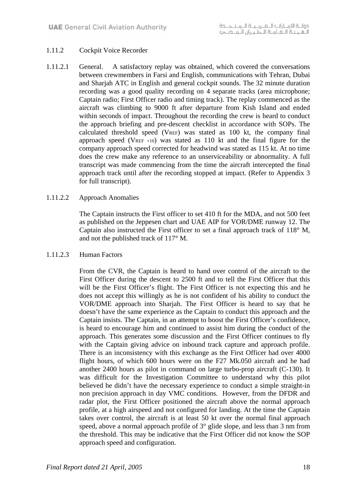# 1.11.2 Cockpit Voice Recorder

1.11.2.1 General. A satisfactory replay was obtained, which covered the conversations between crewmembers in Farsi and English, communications with Tehran, Dubai and Sharjah ATC in English and general cockpit sounds. The 32 minute duration recording was a good quality recording on 4 separate tracks (area microphone; Captain radio; First Officer radio and timing track). The replay commenced as the aircraft was climbing to 9000 ft after departure from Kish Island and ended within seconds of impact. Throughout the recording the crew is heard to conduct the approach briefing and pre-descent checklist in accordance with SOPs. The calculated threshold speed (VREF) was stated as 100 kt, the company final approach speed (VREF  $+10$ ) was stated as 110 kt and the final figure for the company approach speed corrected for headwind was stated as 115 kt. At no time does the crew make any reference to an unserviceability or abnormality. A full transcript was made commencing from the time the aircraft intercepted the final approach track until after the recording stopped at impact. (Refer to Appendix 3 for full transcript).

#### 1.11.2.2 Approach Anomalies

The Captain instructs the First officer to set 410 ft for the MDA, and not 500 feet as published on the Jeppesen chart and UAE AIP for VOR/DME runway 12. The Captain also instructed the First officer to set a final approach track of 118° M, and not the published track of 117° M.

#### 1.11.2.3 Human Factors

From the CVR, the Captain is heard to hand over control of the aircraft to the First Officer during the descent to 2500 ft and to tell the First Officer that this will be the First Officer's flight. The First Officer is not expecting this and he does not accept this willingly as he is not confident of his ability to conduct the VOR/DME approach into Sharjah. The First Officer is heard to say that he doesn't have the same experience as the Captain to conduct this approach and the Captain insists. The Captain, in an attempt to boost the First Officer's confidence, is heard to encourage him and continued to assist him during the conduct of the approach. This generates some discussion and the First Officer continues to fly with the Captain giving advice on inbound track capture and approach profile. There is an inconsistency with this exchange as the First Officer had over 4000 flight hours, of which 600 hours were on the F27 Mk.050 aircraft and he had another 2400 hours as pilot in command on large turbo-prop aircraft (C-130). It was difficult for the Investigation Committee to understand why this pilot believed he didn't have the necessary experience to conduct a simple straight-in non precision approach in day VMC conditions. However, from the DFDR and radar plot, the First Officer positioned the aircraft above the normal approach profile, at a high airspeed and not configured for landing. At the time the Captain takes over control, the aircraft is at least 50 kt over the normal final approach speed, above a normal approach profile of 3° glide slope, and less than 3 nm from the threshold. This may be indicative that the First Officer did not know the SOP approach speed and configuration.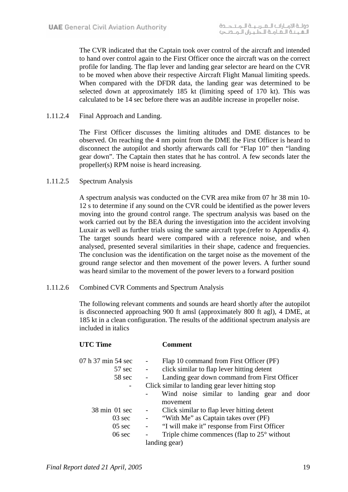The CVR indicated that the Captain took over control of the aircraft and intended to hand over control again to the First Officer once the aircraft was on the correct profile for landing. The flap lever and landing gear selector are heard on the CVR to be moved when above their respective Aircraft Flight Manual limiting speeds. When compared with the DFDR data, the landing gear was determined to be selected down at approximately 185 kt (limiting speed of 170 kt). This was calculated to be 14 sec before there was an audible increase in propeller noise.

1.11.2.4 Final Approach and Landing.

 The First Officer discusses the limiting altitudes and DME distances to be observed. On reaching the 4 nm point from the DME the First Officer is heard to disconnect the autopilot and shortly afterwards call for "Flap 10" then "landing gear down". The Captain then states that he has control. A few seconds later the propeller(s) RPM noise is heard increasing.

#### 1.11.2.5 Spectrum Analysis

A spectrum analysis was conducted on the CVR area mike from 07 hr 38 min 10- 12 s to determine if any sound on the CVR could be identified as the power levers moving into the ground control range. The spectrum analysis was based on the work carried out by the BEA during the investigation into the accident involving Luxair as well as further trials using the same aircraft type.(refer to Appendix 4). The target sounds heard were compared with a reference noise, and when analysed, presented several similarities in their shape, cadence and frequencies. The conclusion was the identification on the target noise as the movement of the ground range selector and then movement of the power levers. A further sound was heard similar to the movement of the power levers to a forward position

1.11.2.6 Combined CVR Comments and Spectrum Analysis

The following relevant comments and sounds are heard shortly after the autopilot is disconnected approaching 900 ft amsl (approximately 800 ft agl), 4 DME, at 185 kt in a clean configuration. The results of the additional spectrum analysis are included in italics

| <b>UTC Time</b>                                                                     | <b>Comment</b>                                                                                                                                                                                                                                                                         |
|-------------------------------------------------------------------------------------|----------------------------------------------------------------------------------------------------------------------------------------------------------------------------------------------------------------------------------------------------------------------------------------|
| 07 h 37 min 54 sec<br>57 sec<br>58 sec<br>$\overline{\phantom{a}}$                  | Flap 10 command from First Officer (PF)<br>click similar to flap lever hitting detent<br>$\blacksquare$<br>Landing gear down command from First Officer<br>$\overline{\phantom{a}}$<br>Click similar to landing gear lever hitting stop<br>Wind noise similar to landing gear and door |
| $38 \text{ min}$ 01 sec<br>$03 \text{ sec}$<br>$05 \text{ sec}$<br>$06 \text{ sec}$ | movement<br>Click similar to flap lever hitting detent<br>$\sim 100$<br>- "With Me" as Captain takes over (PF)<br>"I will make it" response from First Officer<br>$\blacksquare$<br>Triple chime commences (flap to $25^{\circ}$ without<br>landing gear)                              |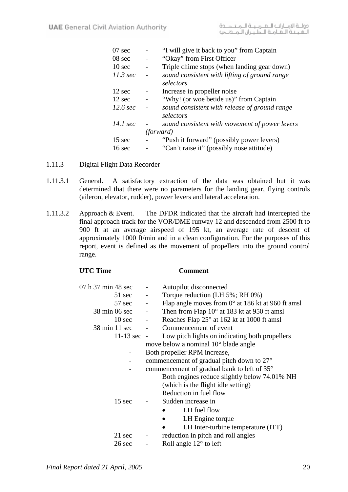| $07 \text{ sec}$   |                          | "I will give it back to you" from Captain                  |
|--------------------|--------------------------|------------------------------------------------------------|
| 08 sec             | $\qquad \qquad -$        | "Okay" from First Officer                                  |
| 10 <sub>sec</sub>  | $\qquad \qquad -$        | Triple chime stops (when landing gear down)                |
| $11.3 \text{ sec}$ | $\qquad \qquad -$        | sound consistent with lifting of ground range              |
|                    |                          | selectors                                                  |
| 12 sec             | $\overline{\phantom{0}}$ | Increase in propeller noise                                |
| 12 sec             | $\overline{\phantom{0}}$ | "Why! (or woe betide us)" from Captain                     |
| $12.6 \text{ sec}$ | $\overline{\phantom{a}}$ | sound consistent with release of ground range<br>selectors |
| $14.1 \text{ sec}$ |                          | sound consistent with movement of power levers             |
|                    | <i>(forward)</i>         |                                                            |
| 15 sec             |                          | "Push it forward" (possibly power levers)                  |
| $16 \text{ sec}$   |                          | "Can't raise it" (possibly nose attitude)                  |
|                    |                          |                                                            |

- 1.11.3 Digital Flight Data Recorder
- 1.11.3.1 General. A satisfactory extraction of the data was obtained but it was determined that there were no parameters for the landing gear, flying controls (aileron, elevator, rudder), power levers and lateral acceleration.
- 1.11.3.2 Approach & Event. The DFDR indicated that the aircraft had intercepted the final approach track for the VOR/DME runway 12 and descended from 2500 ft to 900 ft at an average airspeed of 195 kt, an average rate of descent of approximately 1000 ft/min and in a clean configuration. For the purposes of this report, event is defined as the movement of propellers into the ground control range.

| <b>UTC Time</b>                    |                          | Comment                                                    |
|------------------------------------|--------------------------|------------------------------------------------------------|
| 07 h 37 min 48 sec                 | $\sim$ $-$               | Autopilot disconnected                                     |
| $51 \text{ sec}$ -                 |                          | Torque reduction (LH 5%; RH 0%)                            |
| $57 \text{ sec}$ -                 |                          | Flap angle moves from $0^{\circ}$ at 186 kt at 960 ft amsl |
| $38 \text{ min } 06 \text{ sec}$ - |                          | Then from Flap $10^{\circ}$ at 183 kt at 950 ft amsl       |
| $10 \text{ sec}$ -                 |                          | Reaches Flap 25° at 162 kt at 1000 ft amsl                 |
| $38 \text{ min } 11 \text{ sec}$ - |                          | Commencement of event                                      |
|                                    |                          | 11-13 sec - Low pitch lights on indicating both propellers |
|                                    |                          | move below a nominal 10° blade angle                       |
|                                    |                          | Both propeller RPM increase,                               |
|                                    |                          | commencement of gradual pitch down to 27°                  |
|                                    |                          | commencement of gradual bank to left of 35°                |
|                                    |                          | Both engines reduce slightly below 74.01% NH               |
|                                    |                          | (which is the flight idle setting)                         |
|                                    |                          | Reduction in fuel flow                                     |
| $15 \text{ sec}$                   |                          | Sudden increase in                                         |
|                                    |                          | LH fuel flow<br>$\bullet$                                  |
|                                    |                          | LH Engine torque<br>$\bullet$                              |
|                                    |                          | LH Inter-turbine temperature (ITT)<br>$\bullet$            |
| 21 sec                             | $\overline{\phantom{a}}$ | reduction in pitch and roll angles                         |
| $26 \text{ sec}$                   |                          | Roll angle $12^{\circ}$ to left                            |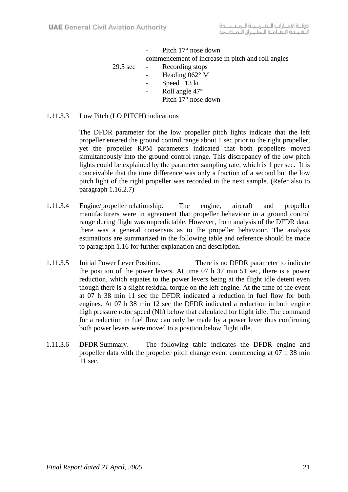|                    | Pitch $17^{\circ}$ nose down                      |
|--------------------|---------------------------------------------------|
|                    | commencement of increase in pitch and roll angles |
| $29.5 \text{ sec}$ | Recording stops                                   |
|                    | Heading $062^\circ$ M                             |
|                    | Speed 113 kt                                      |
|                    | Roll angle 47°                                    |
|                    | Pitch 17° nose down                               |

### 1.11.3.3 Low Pitch (LO PITCH) indications

The DFDR parameter for the low propeller pitch lights indicate that the left propeller entered the ground control range about 1 sec prior to the right propeller, yet the propeller RPM parameters indicated that both propellers moved simultaneously into the ground control range. This discrepancy of the low pitch lights could be explained by the parameter sampling rate, which is 1 per sec. It is conceivable that the time difference was only a fraction of a second but the low pitch light of the right propeller was recorded in the next sample. (Refer also to paragraph 1.16.2.7)

- 1.11.3.4 Engine/propeller relationship. The engine, aircraft and propeller manufacturers were in agreement that propeller behaviour in a ground control range during flight was unpredictable. However, from analysis of the DFDR data, there was a general consensus as to the propeller behaviour. The analysis estimations are summarized in the following table and reference should be made to paragraph 1.16 for further explanation and description.
- 1.11.3.5 Initial Power Lever Position. There is no DFDR parameter to indicate the position of the power levers. At time 07 h 37 min 51 sec, there is a power reduction, which equates to the power levers being at the flight idle detent even though there is a slight residual torque on the left engine. At the time of the event at 07 h 38 min 11 sec the DFDR indicated a reduction in fuel flow for both engines. At 07 h 38 min 12 sec the DFDR indicated a reduction in both engine high pressure rotor speed (Nh) below that calculated for flight idle. The command for a reduction in fuel flow can only be made by a power lever thus confirming both power levers were moved to a position below flight idle.
- 1.11.3.6 DFDR Summary. The following table indicates the DFDR engine and propeller data with the propeller pitch change event commencing at 07 h 38 min 11 sec.

.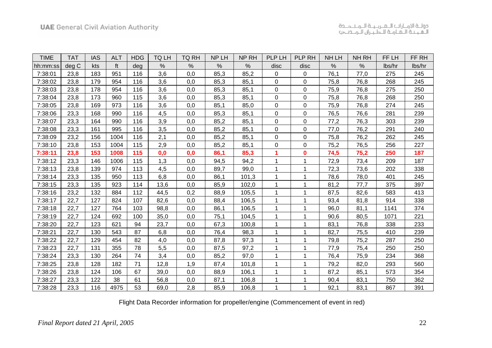| <b>TIME</b> | <b>TAT</b> | <b>IAS</b> | <b>ALT</b> | <b>HDG</b> | TQ LH | <b>TQ RH</b> | NP LH | NP RH | PLP LH      | PLP RH      | NH LH | NH RH | FF LH  | FF RH  |
|-------------|------------|------------|------------|------------|-------|--------------|-------|-------|-------------|-------------|-------|-------|--------|--------|
| hh:mm:ss    | deg C      | <b>kts</b> | ft         | deg        | $\%$  | $\%$         | %     | %     | disc        | disc        | $\%$  | $\%$  | lbs/hr | lbs/hr |
| 7:38:01     | 23,8       | 183        | 951        | 116        | 3,6   | 0,0          | 85,3  | 85,2  | $\mathbf 0$ | 0           | 76,1  | 77,0  | 275    | 245    |
| 7:38:02     | 23,8       | 179        | 954        | 116        | 3,6   | 0,0          | 85,3  | 85,1  | 0           | $\Omega$    | 75,8  | 76,8  | 268    | 245    |
| 7:38:03     | 23,8       | 178        | 954        | 116        | 3,6   | 0,0          | 85,3  | 85,1  | 0           | $\mathbf 0$ | 75,9  | 76,8  | 275    | 250    |
| 7:38:04     | 23,8       | 173        | 960        | 115        | 3,6   | 0,0          | 85,3  | 85,1  | 0           | 0           | 75,8  | 76,8  | 268    | 250    |
| 7:38:05     | 23,8       | 169        | 973        | 116        | 3,6   | 0,0          | 85,1  | 85,0  | 0           | 0           | 75,9  | 76,8  | 274    | 245    |
| 7:38:06     | 23,3       | 168        | 990        | 116        | 4,5   | 0,0          | 85,3  | 85,1  | 0           | 0           | 76,5  | 76,6  | 281    | 239    |
| 7:38:07     | 23,3       | 164        | 990        | 116        | 3,9   | 0,0          | 85,2  | 85,1  | 0           | 0           | 77,2  | 76,3  | 303    | 239    |
| 7:38:08     | 23,3       | 161        | 995        | 116        | 3,5   | 0,0          | 85,2  | 85,1  | 0           | 0           | 77,0  | 76,2  | 291    | 240    |
| 7:38:09     | 23,2       | 156        | 1004       | 116        | 2,1   | 0,0          | 85,2  | 85,1  | 0           | 0           | 75,8  | 76,2  | 262    | 245    |
| 7:38:10     | 23,8       | 153        | 1004       | 115        | 2,9   | 0,0          | 85,2  | 85,1  | 0           | 0           | 75,2  | 76,5  | 256    | 227    |
| 7:38:11     | 23,8       | 153        | 1008       | 115        | 0,0   | 0,0          | 86,1  | 85,3  | 1           | $\bf{0}$    | 74,5  | 75,2  | 250    | 187    |
| 7:38:12     | 23,3       | 146        | 1006       | 115        | 1,3   | 0,0          | 94,5  | 94,2  |             | 1           | 72,9  | 73,4  | 209    | 187    |
| 7:38:13     | 23,8       | 139        | 974        | 113        | 4,5   | 0,0          | 89,7  | 99,0  | 1           | 1           | 72,3  | 73,6  | 202    | 338    |
| 7:38:14     | 23,3       | 135        | 950        | 113        | 6,8   | 0,0          | 86,1  | 101,3 | 1           | 1           | 78,6  | 78,0  | 401    | 245    |
| 7:38:15     | 23,3       | 135        | 923        | 114        | 13,6  | 0,0          | 85,9  | 102,0 | 1           | 1           | 81,2  | 77,7  | 375    | 397    |
| 7:38:16     | 23,2       | 132        | 884        | 112        | 44,5  | 0,2          | 88,9  | 105,5 | 1           |             | 87,5  | 82,6  | 583    | 413    |
| 7:38:17     | 22,7       | 127        | 824        | 107        | 82,6  | 0,0          | 88,4  | 106,5 | 1           | 1           | 93,4  | 81,8  | 914    | 338    |
| 7:38:18     | 22,7       | 127        | 764        | 103        | 98,8  | 0,0          | 86,1  | 106,5 | 1           | 1           | 96,0  | 81,1  | 1141   | 374    |
| 7:38:19     | 22,7       | 124        | 692        | 100        | 35,0  | 0,0          | 75,1  | 104,5 |             | 1           | 90,6  | 80,5  | 1071   | 221    |
| 7:38:20     | 22,7       | 123        | 621        | 94         | 23,7  | 0,0          | 67,3  | 100,8 |             | 1           | 83,1  | 76,8  | 338    | 233    |
| 7:38:21     | 22,7       | 130        | 543        | 87         | 6,8   | 0,0          | 76,4  | 98,3  |             | 1           | 82,7  | 75,5  | 410    | 239    |
| 7:38:22     | 22,7       | 129        | 454        | 82         | 4,0   | 0,0          | 87,8  | 97,3  | 1           | 1           | 79,8  | 75,2  | 287    | 250    |
| 7:38:23     | 22,7       | 131        | 355        | 78         | 5,5   | 0,0          | 87,5  | 97,2  |             |             | 77,9  | 75,4  | 250    | 250    |
| 7:38:24     | 23,3       | 130        | 264        | 74         | 3,4   | 0,0          | 85,2  | 97,0  | 1           | 1           | 76,4  | 75,9  | 234    | 368    |
| 7:38:25     | 23,8       | 128        | 182        | 71         | 12,8  | 1,9          | 87,4  | 101,8 | 1           | 1           | 79,2  | 82,0  | 293    | 560    |
| 7:38:26     | 23,8       | 124        | 106        | 67         | 39,0  | 0,0          | 88,9  | 106,1 | 1           | 1           | 87,2  | 85,1  | 573    | 354    |
| 7:38:27     | 23,3       | 122        | 38         | 61         | 56,8  | 0,0          | 87,1  | 106,8 |             | 1           | 90,4  | 83,1  | 750    | 362    |
| 7:38:28     | 23,3       | 116        | 4975       | 53         | 69,0  | 2,8          | 85,9  | 106,8 | 1           | 1           | 92,1  | 83,1  | 867    | 391    |

Flight Data Recorder information for propeller/engine (Commencement of event in red)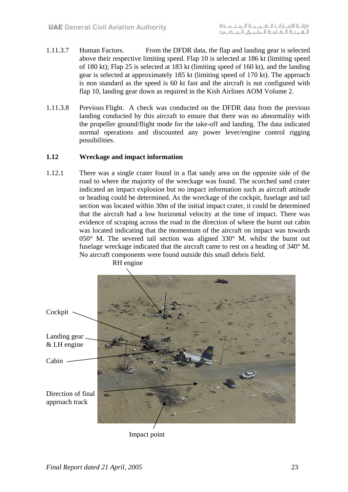- 1.11.3.7 Human Factors. From the DFDR data, the flap and landing gear is selected above their respective limiting speed. Flap 10 is selected at 186 kt (limiting speed of 180 kt); Flap 25 is selected at 183 kt (limiting speed of 160 kt), and the landing gear is selected at approximately 185 kt (limiting speed of 170 kt). The approach is non standard as the speed is 60 kt fast and the aircraft is not configured with flap 10, landing gear down as required in the Kish Airlines AOM Volume 2.
- 1.11.3.8 Previous Flight. A check was conducted on the DFDR data from the previous landing conducted by this aircraft to ensure that there was no abnormality with the propeller ground/flight mode for the take-off and landing. The data indicated normal operations and discounted any power lever/engine control rigging possibilities.

#### **1.12 Wreckage and impact information**

1.12.1 There was a single crater found in a flat sandy area on the opposite side of the road to where the majority of the wreckage was found. The scorched sand crater indicated an impact explosion but no impact information such as aircraft attitude or heading could be determined. As the wreckage of the cockpit, fuselage and tail section was located within 30m of the initial impact crater, it could be determined that the aircraft had a low horizontal velocity at the time of impact. There was evidence of scraping across the road in the direction of where the burnt out cabin was located indicating that the momentum of the aircraft on impact was towards 050° M. The severed tail section was aligned 330° M. whilst the burnt out fuselage wreckage indicated that the aircraft came to rest on a heading of 340° M. No aircraft components were found outside this small debris field.



Impact point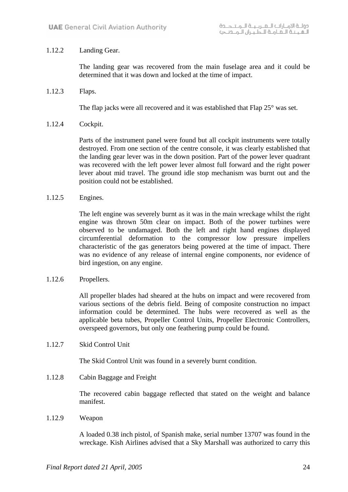### 1.12.2 Landing Gear.

The landing gear was recovered from the main fuselage area and it could be determined that it was down and locked at the time of impact.

1.12.3 Flaps.

The flap jacks were all recovered and it was established that Flap 25° was set.

1.12.4 Cockpit.

Parts of the instrument panel were found but all cockpit instruments were totally destroyed. From one section of the centre console, it was clearly established that the landing gear lever was in the down position. Part of the power lever quadrant was recovered with the left power lever almost full forward and the right power lever about mid travel. The ground idle stop mechanism was burnt out and the position could not be established.

1.12.5 Engines.

The left engine was severely burnt as it was in the main wreckage whilst the right engine was thrown 50m clear on impact. Both of the power turbines were observed to be undamaged. Both the left and right hand engines displayed circumferential deformation to the compressor low pressure impellers characteristic of the gas generators being powered at the time of impact. There was no evidence of any release of internal engine components, nor evidence of bird ingestion, on any engine.

1.12.6 Propellers.

All propeller blades had sheared at the hubs on impact and were recovered from various sections of the debris field. Being of composite construction no impact information could be determined. The hubs were recovered as well as the applicable beta tubes, Propeller Control Units, Propeller Electronic Controllers, overspeed governors, but only one feathering pump could be found.

1.12.7 Skid Control Unit

The Skid Control Unit was found in a severely burnt condition.

1.12.8 Cabin Baggage and Freight

The recovered cabin baggage reflected that stated on the weight and balance manifest.

1.12.9 Weapon

A loaded 0.38 inch pistol, of Spanish make, serial number 13707 was found in the wreckage. Kish Airlines advised that a Sky Marshall was authorized to carry this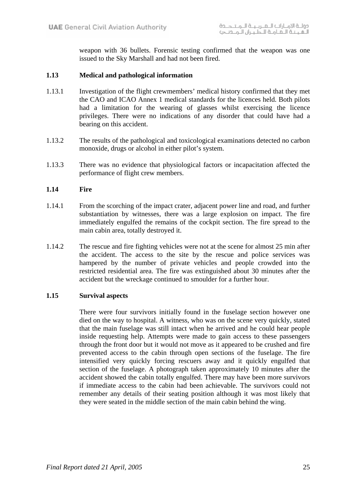weapon with 36 bullets. Forensic testing confirmed that the weapon was one issued to the Sky Marshall and had not been fired.

#### **1.13 Medical and pathological information**

- 1.13.1 Investigation of the flight crewmembers' medical history confirmed that they met the CAO and ICAO Annex 1 medical standards for the licences held. Both pilots had a limitation for the wearing of glasses whilst exercising the licence privileges. There were no indications of any disorder that could have had a bearing on this accident.
- 1.13.2 The results of the pathological and toxicological examinations detected no carbon monoxide, drugs or alcohol in either pilot's system.
- 1.13.3 There was no evidence that physiological factors or incapacitation affected the performance of flight crew members.

#### **1.14 Fire**

- 1.14.1 From the scorching of the impact crater, adjacent power line and road, and further substantiation by witnesses, there was a large explosion on impact. The fire immediately engulfed the remains of the cockpit section. The fire spread to the main cabin area, totally destroyed it.
- 1.14.2 The rescue and fire fighting vehicles were not at the scene for almost 25 min after the accident. The access to the site by the rescue and police services was hampered by the number of private vehicles and people crowded into the restricted residential area. The fire was extinguished about 30 minutes after the accident but the wreckage continued to smoulder for a further hour.

#### **1.15 Survival aspects**

There were four survivors initially found in the fuselage section however one died on the way to hospital. A witness, who was on the scene very quickly, stated that the main fuselage was still intact when he arrived and he could hear people inside requesting help. Attempts were made to gain access to these passengers through the front door but it would not move as it appeared to be crushed and fire prevented access to the cabin through open sections of the fuselage. The fire intensified very quickly forcing rescuers away and it quickly engulfed that section of the fuselage. A photograph taken approximately 10 minutes after the accident showed the cabin totally engulfed. There may have been more survivors if immediate access to the cabin had been achievable. The survivors could not remember any details of their seating position although it was most likely that they were seated in the middle section of the main cabin behind the wing.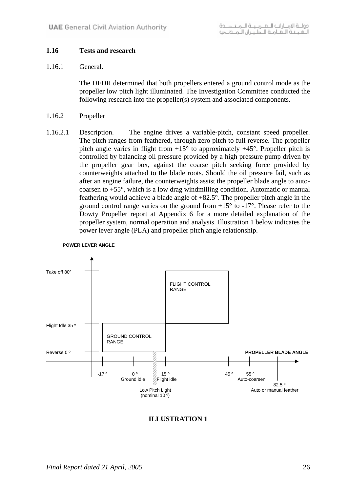### **1.16 Tests and research**

#### 1.16.1 General.

The DFDR determined that both propellers entered a ground control mode as the propeller low pitch light illuminated. The Investigation Committee conducted the following research into the propeller(s) system and associated components.

- 1.16.2 Propeller
- 1.16.2.1 Description. The engine drives a variable-pitch, constant speed propeller. The pitch ranges from feathered, through zero pitch to full reverse. The propeller pitch angle varies in flight from  $+15^{\circ}$  to approximately  $+45^{\circ}$ . Propeller pitch is controlled by balancing oil pressure provided by a high pressure pump driven by the propeller gear box, against the coarse pitch seeking force provided by counterweights attached to the blade roots. Should the oil pressure fail, such as after an engine failure, the counterweights assist the propeller blade angle to autocoarsen to +55°, which is a low drag windmilling condition. Automatic or manual feathering would achieve a blade angle of +82.5°. The propeller pitch angle in the ground control range varies on the ground from  $+15^{\circ}$  to  $-17^{\circ}$ . Please refer to the Dowty Propeller report at Appendix 6 for a more detailed explanation of the propeller system, normal operation and analysis. Illustration 1 below indicates the power lever angle (PLA) and propeller pitch angle relationship.



#### **POWER LEVER ANGLE**

#### **ILLUSTRATION 1**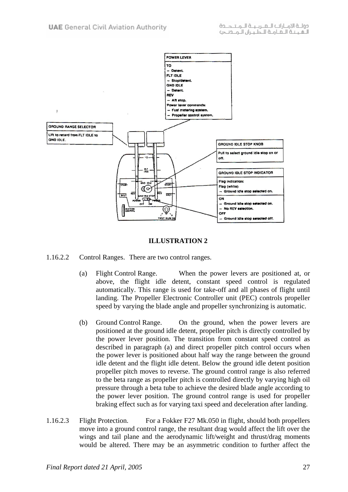

#### **ILLUSTRATION 2**

- 1.16.2.2 Control Ranges. There are two control ranges.
	- (a) Flight Control Range. When the power levers are positioned at, or above, the flight idle detent, constant speed control is regulated automatically. This range is used for take-off and all phases of flight until landing. The Propeller Electronic Controller unit (PEC) controls propeller speed by varying the blade angle and propeller synchronizing is automatic.
	- (b) Ground Control Range. On the ground, when the power levers are positioned at the ground idle detent, propeller pitch is directly controlled by the power lever position. The transition from constant speed control as described in paragraph (a) and direct propeller pitch control occurs when the power lever is positioned about half way the range between the ground idle detent and the flight idle detent. Below the ground idle detent position propeller pitch moves to reverse. The ground control range is also referred to the beta range as propeller pitch is controlled directly by varying high oil pressure through a beta tube to achieve the desired blade angle according to the power lever position. The ground control range is used for propeller braking effect such as for varying taxi speed and deceleration after landing.
- 1.16.2.3 Flight Protection. For a Fokker F27 Mk.050 in flight, should both propellers move into a ground control range, the resultant drag would affect the lift over the wings and tail plane and the aerodynamic lift/weight and thrust/drag moments would be altered. There may be an asymmetric condition to further affect the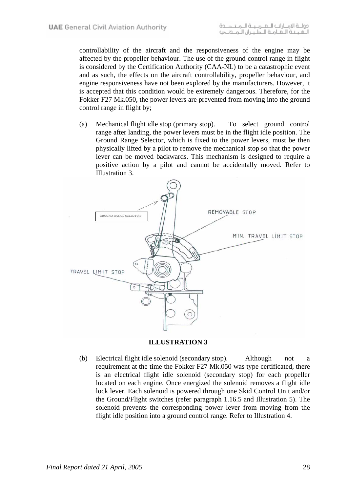controllability of the aircraft and the responsiveness of the engine may be affected by the propeller behaviour. The use of the ground control range in flight is considered by the Certification Authority (CAA-NL) to be a catastrophic event and as such, the effects on the aircraft controllability, propeller behaviour, and engine responsiveness have not been explored by the manufacturers. However, it is accepted that this condition would be extremely dangerous. Therefore, for the Fokker F27 Mk.050, the power levers are prevented from moving into the ground control range in flight by;

(a) Mechanical flight idle stop (primary stop). To select ground control range after landing, the power levers must be in the flight idle position. The Ground Range Selector, which is fixed to the power levers, must be then physically lifted by a pilot to remove the mechanical stop so that the power lever can be moved backwards. This mechanism is designed to require a positive action by a pilot and cannot be accidentally moved. Refer to Illustration 3.



**ILLUSTRATION 3** 

(b) Electrical flight idle solenoid (secondary stop). Although not a requirement at the time the Fokker F27 Mk.050 was type certificated, there is an electrical flight idle solenoid (secondary stop) for each propeller located on each engine. Once energized the solenoid removes a flight idle lock lever. Each solenoid is powered through one Skid Control Unit and/or the Ground/Flight switches (refer paragraph 1.16.5 and Illustration 5). The solenoid prevents the corresponding power lever from moving from the flight idle position into a ground control range. Refer to Illustration 4.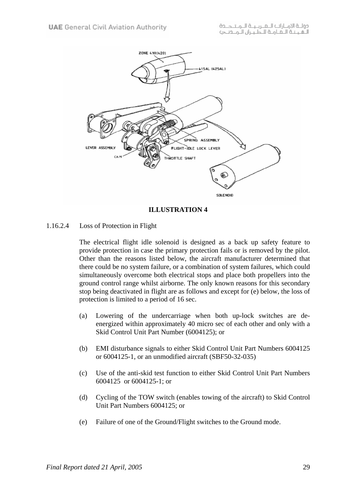

**ILLUSTRATION 4** 

1.16.2.4 Loss of Protection in Flight

The electrical flight idle solenoid is designed as a back up safety feature to provide protection in case the primary protection fails or is removed by the pilot. Other than the reasons listed below, the aircraft manufacturer determined that there could be no system failure, or a combination of system failures, which could simultaneously overcome both electrical stops and place both propellers into the ground control range whilst airborne. The only known reasons for this secondary stop being deactivated in flight are as follows and except for (e) below, the loss of protection is limited to a period of 16 sec.

- (a) Lowering of the undercarriage when both up-lock switches are deenergized within approximately 40 micro sec of each other and only with a Skid Control Unit Part Number (6004125); or
- (b) EMI disturbance signals to either Skid Control Unit Part Numbers 6004125 or 6004125-1, or an unmodified aircraft (SBF50-32-035)
- (c) Use of the anti-skid test function to either Skid Control Unit Part Numbers 6004125 or 6004125-1; or
- (d) Cycling of the TOW switch (enables towing of the aircraft) to Skid Control Unit Part Numbers 6004125; or
- (e) Failure of one of the Ground/Flight switches to the Ground mode.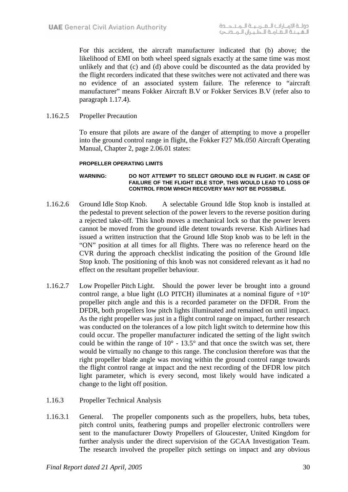For this accident, the aircraft manufacturer indicated that (b) above; the likelihood of EMI on both wheel speed signals exactly at the same time was most unlikely and that (c) and (d) above could be discounted as the data provided by the flight recorders indicated that these switches were not activated and there was no evidence of an associated system failure. The reference to "aircraft manufacturer" means Fokker Aircraft B.V or Fokker Services B.V (refer also to paragraph 1.17.4).

1.16.2.5 Propeller Precaution

To ensure that pilots are aware of the danger of attempting to move a propeller into the ground control range in flight, the Fokker F27 Mk.050 Aircraft Operating Manual, Chapter 2, page 2.06.01 states:

#### **PROPELLER OPERATING LIMITS**

#### **WARNING: DO NOT ATTEMPT TO SELECT GROUND IDLE IN FLIGHT. IN CASE OF FAILURE OF THE FLIGHT IDLE STOP, THIS WOULD LEAD TO LOSS OF CONTROL FROM WHICH RECOVERY MAY NOT BE POSSIBLE.**

- 1.16.2.6 Ground Idle Stop Knob. A selectable Ground Idle Stop knob is installed at the pedestal to prevent selection of the power levers to the reverse position during a rejected take-off. This knob moves a mechanical lock so that the power levers cannot be moved from the ground idle detent towards reverse. Kish Airlines had issued a written instruction that the Ground Idle Stop knob was to be left in the "ON" position at all times for all flights. There was no reference heard on the CVR during the approach checklist indicating the position of the Ground Idle Stop knob. The positioning of this knob was not considered relevant as it had no effect on the resultant propeller behaviour.
- 1.16.2.7 Low Propeller Pitch Light. Should the power lever be brought into a ground control range, a blue light (LO PITCH) illuminates at a nominal figure of  $+10^{\circ}$ propeller pitch angle and this is a recorded parameter on the DFDR. From the DFDR, both propellers low pitch lights illuminated and remained on until impact. As the right propeller was just in a flight control range on impact, further research was conducted on the tolerances of a low pitch light switch to determine how this could occur. The propeller manufacturer indicated the setting of the light switch could be within the range of  $10^{\circ}$  - 13.5° and that once the switch was set, there would be virtually no change to this range. The conclusion therefore was that the right propeller blade angle was moving within the ground control range towards the flight control range at impact and the next recording of the DFDR low pitch light parameter, which is every second, most likely would have indicated a change to the light off position.
- 1.16.3 Propeller Technical Analysis
- 1.16.3.1 General. The propeller components such as the propellers, hubs, beta tubes, pitch control units, feathering pumps and propeller electronic controllers were sent to the manufacturer Dowty Propellers of Gloucester, United Kingdom for further analysis under the direct supervision of the GCAA Investigation Team. The research involved the propeller pitch settings on impact and any obvious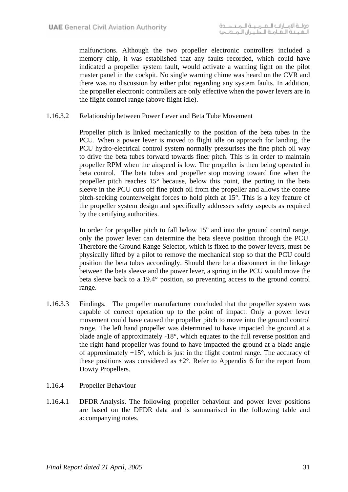malfunctions. Although the two propeller electronic controllers included a memory chip, it was established that any faults recorded, which could have indicated a propeller system fault, would activate a warning light on the pilot master panel in the cockpit. No single warning chime was heard on the CVR and there was no discussion by either pilot regarding any system faults. In addition, the propeller electronic controllers are only effective when the power levers are in the flight control range (above flight idle).

1.16.3.2 Relationship between Power Lever and Beta Tube Movement

Propeller pitch is linked mechanically to the position of the beta tubes in the PCU. When a power lever is moved to flight idle on approach for landing, the PCU hydro-electrical control system normally pressurises the fine pitch oil way to drive the beta tubes forward towards finer pitch. This is in order to maintain propeller RPM when the airspeed is low. The propeller is then being operated in beta control. The beta tubes and propeller stop moving toward fine when the propeller pitch reaches 15° because, below this point, the porting in the beta sleeve in the PCU cuts off fine pitch oil from the propeller and allows the coarse pitch-seeking counterweight forces to hold pitch at 15°. This is a key feature of the propeller system design and specifically addresses safety aspects as required by the certifying authorities.

In order for propeller pitch to fall below  $15^{\circ}$  and into the ground control range, only the power lever can determine the beta sleeve position through the PCU. Therefore the Ground Range Selector, which is fixed to the power levers, must be physically lifted by a pilot to remove the mechanical stop so that the PCU could position the beta tubes accordingly. Should there be a disconnect in the linkage between the beta sleeve and the power lever, a spring in the PCU would move the beta sleeve back to a 19.4° position, so preventing access to the ground control range.

- 1.16.3.3 Findings. The propeller manufacturer concluded that the propeller system was capable of correct operation up to the point of impact. Only a power lever movement could have caused the propeller pitch to move into the ground control range. The left hand propeller was determined to have impacted the ground at a blade angle of approximately -18°, which equates to the full reverse position and the right hand propeller was found to have impacted the ground at a blade angle of approximately  $+15^{\circ}$ , which is just in the flight control range. The accuracy of these positions was considered as  $\pm 2^{\circ}$ . Refer to Appendix 6 for the report from Dowty Propellers.
- 1.16.4 Propeller Behaviour
- 1.16.4.1 DFDR Analysis. The following propeller behaviour and power lever positions are based on the DFDR data and is summarised in the following table and accompanying notes.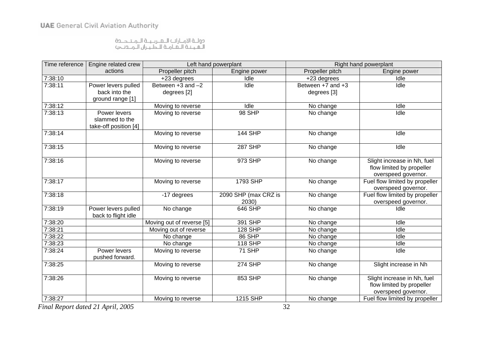دولــة الامــارات الـــعــربــيــة الـــمــتـــــدة<br>الــقــيــة الــعــامــة للــطـيــران الــمـــدنــجـ>

| Time reference | Engine related crew                        |                           | Left hand powerplant | Right hand powerplant |                                                                                 |  |  |
|----------------|--------------------------------------------|---------------------------|----------------------|-----------------------|---------------------------------------------------------------------------------|--|--|
|                | actions                                    | Propeller pitch           | Engine power         | Propeller pitch       | Engine power                                                                    |  |  |
| 7:38:10        |                                            | +23 degrees               | Idle                 | +23 degrees           | Idle                                                                            |  |  |
| 7:38:11        | Power levers pulled                        | Between $+3$ and $-2$     | Idle                 | Between $+7$ and $+3$ | Idle                                                                            |  |  |
|                | back into the                              | degrees [2]               |                      | degrees [3]           |                                                                                 |  |  |
|                | ground range [1]                           |                           |                      |                       |                                                                                 |  |  |
| 7:38:12        |                                            | Moving to reverse         | Idle                 | No change             | Idle                                                                            |  |  |
| 7:38:13        | Power levers<br>slammed to the             | Moving to reverse         | 98 SHP               | No change             | Idle                                                                            |  |  |
|                | take-off position [4]                      |                           |                      |                       |                                                                                 |  |  |
| 7:38:14        |                                            | Moving to reverse         | <b>144 SHP</b>       | No change             | Idle                                                                            |  |  |
| 7:38:15        |                                            | Moving to reverse         | <b>287 SHP</b>       | No change             | Idle                                                                            |  |  |
| 7:38:16        |                                            | Moving to reverse         | 973 SHP              | No change             | Slight increase in Nh, fuel<br>flow limited by propeller<br>overspeed governor. |  |  |
| 7:38:17        |                                            | Moving to reverse         | 1793 SHP             | No change             | Fuel flow limited by propeller<br>overspeed governor.                           |  |  |
| 7:38:18        |                                            | -17 degrees               | 2090 SHP (max CRZ is | No change             | Fuel flow limited by propeller                                                  |  |  |
|                |                                            |                           | 2030)                |                       | overspeed governor.                                                             |  |  |
| 7:38:19        | Power levers pulled<br>back to flight idle | No change                 | 646 SHP              | No change             | Idle                                                                            |  |  |
| 7:38:20        |                                            | Moving out of reverse [5] | 391 SHP              | No change             | Idle                                                                            |  |  |
| 7:38:21        |                                            | Moving out of reverse     | <b>128 SHP</b>       | No change             | Idle                                                                            |  |  |
| 7:38:22        |                                            | No change                 | 86 SHP               | No change             | Idle                                                                            |  |  |
| 7:38:23        |                                            | No change                 | <b>118 SHP</b>       | No change             | Idle                                                                            |  |  |
| 7:38:24        | Power levers<br>pushed forward.            | Moving to reverse         | 71 SHP               | No change             | Idle                                                                            |  |  |
| 7:38:25        |                                            | Moving to reverse         | <b>274 SHP</b>       | No change             | Slight increase in Nh                                                           |  |  |
| 7:38:26        |                                            | Moving to reverse         | 853 SHP              | No change             | Slight increase in Nh, fuel<br>flow limited by propeller<br>overspeed governor. |  |  |
| 7:38:27        |                                            | Moving to reverse         | 1215 SHP             | No change             | Fuel flow limited by propeller                                                  |  |  |

*Final Report dated 21 April, 2005* 32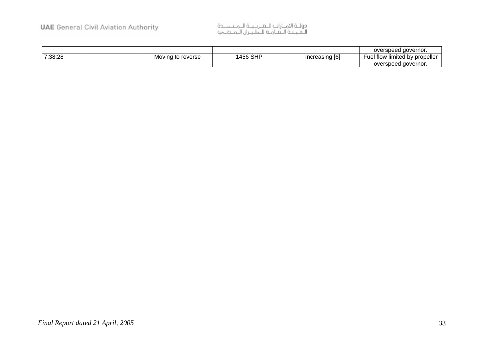# دولــة الامــارات الـــعـــربــيــة الـــمــتــــــدة<br>الــعــيــتـة الــعــامــة للــطـيــران الــمـــدنـــجـ>

|         |                   |          |                | overspeed governor.            |
|---------|-------------------|----------|----------------|--------------------------------|
| 7:38:28 | Moving to reverse | 1456 SHP | Increasing [6] | Fuel flow limited by propeller |
|         |                   |          |                | overspeed governor.            |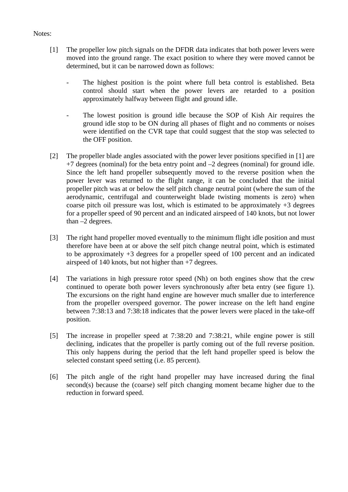#### Notes:

- [1] The propeller low pitch signals on the DFDR data indicates that both power levers were moved into the ground range. The exact position to where they were moved cannot be determined, but it can be narrowed down as follows:
	- The highest position is the point where full beta control is established. Beta control should start when the power levers are retarded to a position approximately halfway between flight and ground idle.
	- The lowest position is ground idle because the SOP of Kish Air requires the ground idle stop to be ON during all phases of flight and no comments or noises were identified on the CVR tape that could suggest that the stop was selected to the OFF position.
- [2] The propeller blade angles associated with the power lever positions specified in [1] are  $+7$  degrees (nominal) for the beta entry point and  $-2$  degrees (nominal) for ground idle. Since the left hand propeller subsequently moved to the reverse position when the power lever was returned to the flight range, it can be concluded that the initial propeller pitch was at or below the self pitch change neutral point (where the sum of the aerodynamic, centrifugal and counterweight blade twisting moments is zero) when coarse pitch oil pressure was lost, which is estimated to be approximately +3 degrees for a propeller speed of 90 percent and an indicated airspeed of 140 knots, but not lower than –2 degrees.
- [3] The right hand propeller moved eventually to the minimum flight idle position and must therefore have been at or above the self pitch change neutral point, which is estimated to be approximately +3 degrees for a propeller speed of 100 percent and an indicated airspeed of 140 knots, but not higher than +7 degrees.
- [4] The variations in high pressure rotor speed (Nh) on both engines show that the crew continued to operate both power levers synchronously after beta entry (see figure 1). The excursions on the right hand engine are however much smaller due to interference from the propeller overspeed governor. The power increase on the left hand engine between 7:38:13 and 7:38:18 indicates that the power levers were placed in the take-off position.
- [5] The increase in propeller speed at 7:38:20 and 7:38:21, while engine power is still declining, indicates that the propeller is partly coming out of the full reverse position. This only happens during the period that the left hand propeller speed is below the selected constant speed setting (i.e. 85 percent).
- [6] The pitch angle of the right hand propeller may have increased during the final second(s) because the (coarse) self pitch changing moment became higher due to the reduction in forward speed.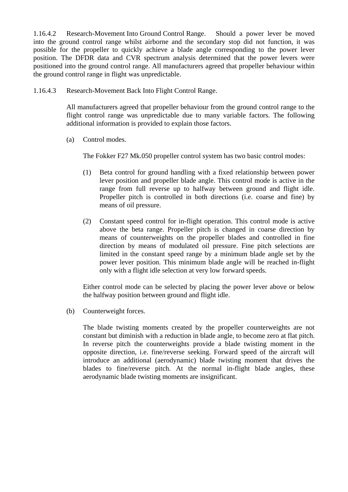1.16.4.2 Research-Movement Into Ground Control Range. Should a power lever be moved into the ground control range whilst airborne and the secondary stop did not function, it was possible for the propeller to quickly achieve a blade angle corresponding to the power lever position. The DFDR data and CVR spectrum analysis determined that the power levers were positioned into the ground control range. All manufacturers agreed that propeller behaviour within the ground control range in flight was unpredictable.

1.16.4.3 Research-Movement Back Into Flight Control Range.

All manufacturers agreed that propeller behaviour from the ground control range to the flight control range was unpredictable due to many variable factors. The following additional information is provided to explain those factors.

(a) Control modes.

The Fokker F27 Mk.050 propeller control system has two basic control modes:

- (1) Beta control for ground handling with a fixed relationship between power lever position and propeller blade angle. This control mode is active in the range from full reverse up to halfway between ground and flight idle. Propeller pitch is controlled in both directions (i.e. coarse and fine) by means of oil pressure.
- (2) Constant speed control for in-flight operation. This control mode is active above the beta range. Propeller pitch is changed in coarse direction by means of counterweights on the propeller blades and controlled in fine direction by means of modulated oil pressure. Fine pitch selections are limited in the constant speed range by a minimum blade angle set by the power lever position. This minimum blade angle will be reached in-flight only with a flight idle selection at very low forward speeds.

Either control mode can be selected by placing the power lever above or below the halfway position between ground and flight idle.

(b) Counterweight forces.

The blade twisting moments created by the propeller counterweights are not constant but diminish with a reduction in blade angle, to become zero at flat pitch. In reverse pitch the counterweights provide a blade twisting moment in the opposite direction, i.e. fine/reverse seeking. Forward speed of the aircraft will introduce an additional (aerodynamic) blade twisting moment that drives the blades to fine/reverse pitch. At the normal in-flight blade angles, these aerodynamic blade twisting moments are insignificant.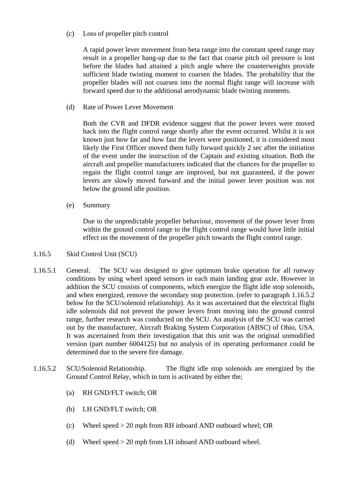(c) Loss of propeller pitch control

A rapid power lever movement from beta range into the constant speed range may result in a propeller hang-up due to the fact that coarse pitch oil pressure is lost before the blades had attained a pitch angle where the counterweights provide sufficient blade twisting moment to coarsen the blades. The probability that the propeller blades will not coarsen into the normal flight range will increase with forward speed due to the additional aerodynamic blade twisting moments.

(d) Rate of Power Lever Movement

Both the CVR and DFDR evidence suggest that the power levers were moved back into the flight control range shortly after the event occurred. Whilst it is not known just how far and how fast the levers were positioned, it is considered most likely the First Officer moved them fully forward quickly 2 sec after the initiation of the event under the instruction of the Captain and existing situation. Both the aircraft and propeller manufacturers indicated that the chances for the propeller to regain the flight control range are improved, but not guaranteed, if the power levers are slowly moved forward and the initial power lever position was not below the ground idle position.

(e) Summary

Due to the unpredictable propeller behaviour, movement of the power lever from within the ground control range to the flight control range would have little initial effect on the movement of the propeller pitch towards the flight control range.

- 1.16.5 Skid Control Unit (SCU)
- 1.16.5.1 General. The SCU was designed to give optimum brake operation for all runway conditions by using wheel speed sensors in each main landing gear axle. However in addition the SCU consists of components, which energize the flight idle stop solenoids, and when energized, remove the secondary stop protection. (refer to paragraph 1.16.5.2 below for the SCU/solenoid relationship). As it was ascertained that the electrical flight idle solenoids did not prevent the power levers from moving into the ground control range, further research was conducted on the SCU. An analysis of the SCU was carried out by the manufacturer, Aircraft Braking System Corporation (ABSC) of Ohio, USA. It was ascertained from their investigation that this unit was the original unmodified version (part number 6004125) but no analysis of its operating performance could be determined due to the severe fire damage.
- 1.16.5.2 SCU/Solenoid Relationship. The flight idle stop solenoids are energized by the Ground Control Relay, which in turn is activated by either the;
	- (a) RH GND/FLT switch; OR
	- (b) LH GND/FLT switch; OR
	- (c) Wheel speed > 20 mph from RH inboard AND outboard wheel; OR
	- (d) Wheel speed > 20 mph from LH inboard AND outboard wheel.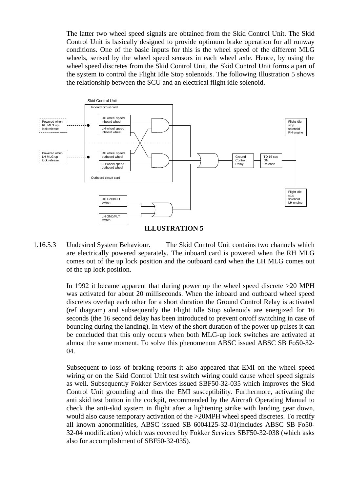The latter two wheel speed signals are obtained from the Skid Control Unit. The Skid Control Unit is basically designed to provide optimum brake operation for all runway conditions. One of the basic inputs for this is the wheel speed of the different MLG wheels, sensed by the wheel speed sensors in each wheel axle. Hence, by using the wheel speed discretes from the Skid Control Unit, the Skid Control Unit forms a part of the system to control the Flight Idle Stop solenoids. The following Illustration 5 shows the relationship between the SCU and an electrical flight idle solenoid.



1.16.5.3 Undesired System Behaviour. The Skid Control Unit contains two channels which are electrically powered separately. The inboard card is powered when the RH MLG comes out of the up lock position and the outboard card when the LH MLG comes out of the up lock position.

> In 1992 it became apparent that during power up the wheel speed discrete >20 MPH was activated for about 20 milliseconds. When the inboard and outboard wheel speed discretes overlap each other for a short duration the Ground Control Relay is activated (ref diagram) and subsequently the Flight Idle Stop solenoids are energized for 16 seconds (the 16 second delay has been introduced to prevent on/off switching in case of bouncing during the landing). In view of the short duration of the power up pulses it can be concluded that this only occurs when both MLG-up lock switches are activated at almost the same moment. To solve this phenomenon ABSC issued ABSC SB Fo50-32- 04.

> Subsequent to loss of braking reports it also appeared that EMI on the wheel speed wiring or on the Skid Control Unit test switch wiring could cause wheel speed signals as well. Subsequently Fokker Services issued SBF50-32-035 which improves the Skid Control Unit grounding and thus the EMI susceptibility. Furthermore, activating the anti skid test button in the cockpit, recommended by the Aircraft Operating Manual to check the anti-skid system in flight after a lightening strike with landing gear down, would also cause temporary activation of the >20MPH wheel speed discretes. To rectify all known abnormalities, ABSC issued SB 6004125-32-01(includes ABSC SB Fo50- 32-04 modification) which was covered by Fokker Services SBF50-32-038 (which asks also for accomplishment of SBF50-32-035).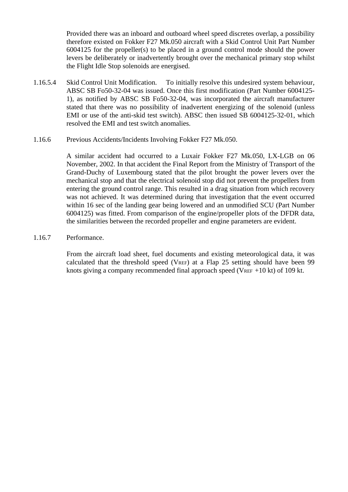Provided there was an inboard and outboard wheel speed discretes overlap, a possibility therefore existed on Fokker F27 Mk.050 aircraft with a Skid Control Unit Part Number 6004125 for the propeller(s) to be placed in a ground control mode should the power levers be deliberately or inadvertently brought over the mechanical primary stop whilst the Flight Idle Stop solenoids are energised.

- 1.16.5.4 Skid Control Unit Modification. To initially resolve this undesired system behaviour, ABSC SB Fo50-32-04 was issued. Once this first modification (Part Number 6004125- 1), as notified by ABSC SB Fo50-32-04, was incorporated the aircraft manufacturer stated that there was no possibility of inadvertent energizing of the solenoid (unless EMI or use of the anti-skid test switch). ABSC then issued SB 6004125-32-01, which resolved the EMI and test switch anomalies.
- 1.16.6 Previous Accidents/Incidents Involving Fokker F27 Mk.050.

A similar accident had occurred to a Luxair Fokker F27 Mk.050, LX-LGB on 06 November, 2002. In that accident the Final Report from the Ministry of Transport of the Grand-Duchy of Luxembourg stated that the pilot brought the power levers over the mechanical stop and that the electrical solenoid stop did not prevent the propellers from entering the ground control range. This resulted in a drag situation from which recovery was not achieved. It was determined during that investigation that the event occurred within 16 sec of the landing gear being lowered and an unmodified SCU (Part Number 6004125) was fitted. From comparison of the engine/propeller plots of the DFDR data, the similarities between the recorded propeller and engine parameters are evident.

1.16.7 Performance.

From the aircraft load sheet, fuel documents and existing meteorological data, it was calculated that the threshold speed (VREF) at a Flap 25 setting should have been 99 knots giving a company recommended final approach speed (VREF  $+10$  kt) of 109 kt.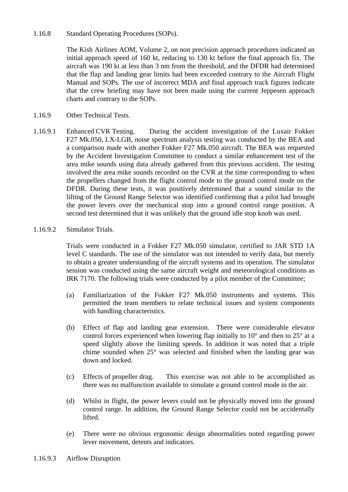#### 1.16.8 Standard Operating Procedures (SOPs).

The Kish Airlines AOM, Volume 2, on non precision approach procedures indicated an initial approach speed of 160 kt, reducing to 130 kt before the final approach fix. The aircraft was 190 kt at less than 3 nm from the threshold, and the DFDR had determined that the flap and landing gear limits had been exceeded contrary to the Aircraft Flight Manual and SOPs. The use of incorrect MDA and final approach track figures indicate that the crew briefing may have not been made using the current Jeppesen approach charts and contrary to the SOPs.

- 1.16.9 Other Technical Tests.
- 1.16.9.1 Enhanced CVR Testing. During the accident investigation of the Luxair Fokker F27 Mk.050, LX-LGB, noise spectrum analysis testing was conducted by the BEA and a comparison made with another Fokker F27 Mk.050 aircraft. The BEA was requested by the Accident Investigation Committee to conduct a similar enhancement test of the area mike sounds using data already gathered from this previous accident. The testing involved the area mike sounds recorded on the CVR at the time corresponding to when the propellers changed from the flight control mode to the ground control mode on the DFDR. During these tests, it was positively determined that a sound similar to the lifting of the Ground Range Selector was identified confirming that a pilot had brought the power levers over the mechanical stop into a ground control range position. A second test determined that it was unlikely that the ground idle stop knob was used.

#### 1.16.9.2 Simulator Trials.

Trials were conducted in a Fokker F27 Mk.050 simulator, certified to JAR STD 1A level C standards. The use of the simulator was not intended to verify data, but merely to obtain a greater understanding of the aircraft systems and its operation. The simulator session was conducted using the same aircraft weight and meteorological conditions as IRK 7170. The following trials were conducted by a pilot member of the Committee;

- (a) Familiarization of the Fokker F27 Mk.050 instruments and systems. This permitted the team members to relate technical issues and system components with handling characteristics.
- (b) Effect of flap and landing gear extension. There were considerable elevator control forces experienced when lowering flap initially to 10° and then to 25° at a speed slightly above the limiting speeds. In addition it was noted that a triple chime sounded when 25° was selected and finished when the landing gear was down and locked.
- (c) Effects of propeller drag. This exercise was not able to be accomplished as there was no malfunction available to simulate a ground control mode in the air.
- (d) Whilst in flight, the power levers could not be physically moved into the ground control range. In addition, the Ground Range Selector could not be accidentally lifted.
- (e) There were no obvious ergonomic design abnormalities noted regarding power lever movement, detents and indicators.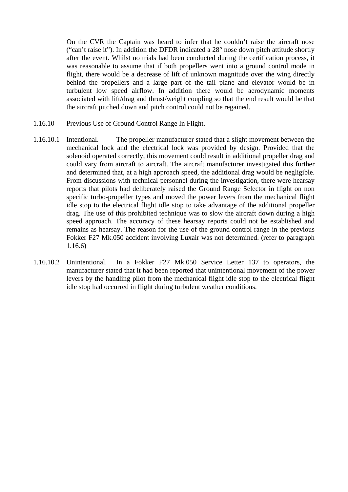On the CVR the Captain was heard to infer that he couldn't raise the aircraft nose ("can't raise it"). In addition the DFDR indicated a 28° nose down pitch attitude shortly after the event. Whilst no trials had been conducted during the certification process, it was reasonable to assume that if both propellers went into a ground control mode in flight, there would be a decrease of lift of unknown magnitude over the wing directly behind the propellers and a large part of the tail plane and elevator would be in turbulent low speed airflow. In addition there would be aerodynamic moments associated with lift/drag and thrust/weight coupling so that the end result would be that the aircraft pitched down and pitch control could not be regained.

- 1.16.10 Previous Use of Ground Control Range In Flight.
- 1.16.10.1 Intentional. The propeller manufacturer stated that a slight movement between the mechanical lock and the electrical lock was provided by design. Provided that the solenoid operated correctly, this movement could result in additional propeller drag and could vary from aircraft to aircraft. The aircraft manufacturer investigated this further and determined that, at a high approach speed, the additional drag would be negligible. From discussions with technical personnel during the investigation, there were hearsay reports that pilots had deliberately raised the Ground Range Selector in flight on non specific turbo-propeller types and moved the power levers from the mechanical flight idle stop to the electrical flight idle stop to take advantage of the additional propeller drag. The use of this prohibited technique was to slow the aircraft down during a high speed approach. The accuracy of these hearsay reports could not be established and remains as hearsay. The reason for the use of the ground control range in the previous Fokker F27 Mk.050 accident involving Luxair was not determined. (refer to paragraph 1.16.6)
- 1.16.10.2 Unintentional. In a Fokker F27 Mk.050 Service Letter 137 to operators, the manufacturer stated that it had been reported that unintentional movement of the power levers by the handling pilot from the mechanical flight idle stop to the electrical flight idle stop had occurred in flight during turbulent weather conditions.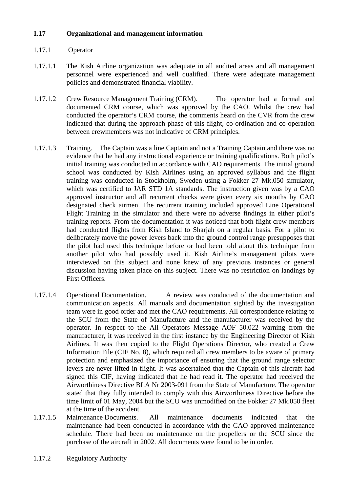### **1.17 Organizational and management information**

- 1.17.1 Operator
- 1.17.1.1 The Kish Airline organization was adequate in all audited areas and all management personnel were experienced and well qualified. There were adequate management policies and demonstrated financial viability.
- 1.17.1.2 Crew Resource Management Training (CRM). The operator had a formal and documented CRM course, which was approved by the CAO. Whilst the crew had conducted the operator's CRM course, the comments heard on the CVR from the crew indicated that during the approach phase of this flight, co-ordination and co-operation between crewmembers was not indicative of CRM principles.
- 1.17.1.3 Training. The Captain was a line Captain and not a Training Captain and there was no evidence that he had any instructional experience or training qualifications. Both pilot's initial training was conducted in accordance with CAO requirements. The initial ground school was conducted by Kish Airlines using an approved syllabus and the flight training was conducted in Stockholm, Sweden using a Fokker 27 Mk.050 simulator, which was certified to JAR STD 1A standards. The instruction given was by a CAO approved instructor and all recurrent checks were given every six months by CAO designated check airmen. The recurrent training included approved Line Operational Flight Training in the simulator and there were no adverse findings in either pilot's training reports. From the documentation it was noticed that both flight crew members had conducted flights from Kish Island to Sharjah on a regular basis. For a pilot to deliberately move the power levers back into the ground control range presupposes that the pilot had used this technique before or had been told about this technique from another pilot who had possibly used it. Kish Airline's management pilots were interviewed on this subject and none knew of any previous instances or general discussion having taken place on this subject. There was no restriction on landings by First Officers.
- 1.17.1.4 Operational Documentation. A review was conducted of the documentation and communication aspects. All manuals and documentation sighted by the investigation team were in good order and met the CAO requirements. All correspondence relating to the SCU from the State of Manufacture and the manufacturer was received by the operator. In respect to the All Operators Message AOF 50.022 warning from the manufacturer, it was received in the first instance by the Engineering Director of Kish Airlines. It was then copied to the Flight Operations Director, who created a Crew Information File (CIF No. 8), which required all crew members to be aware of primary protection and emphasized the importance of ensuring that the ground range selector levers are never lifted in flight. It was ascertained that the Captain of this aircraft had signed this CIF, having indicated that he had read it. The operator had received the Airworthiness Directive BLA Nr 2003-091 from the State of Manufacture. The operator stated that they fully intended to comply with this Airworthiness Directive before the time limit of 01 May, 2004 but the SCU was unmodified on the Fokker 27 Mk.050 fleet at the time of the accident.
- 1.17.1.5 Maintenance Documents. All maintenance documents indicated that the maintenance had been conducted in accordance with the CAO approved maintenance schedule. There had been no maintenance on the propellers or the SCU since the purchase of the aircraft in 2002. All documents were found to be in order.
- 1.17.2 Regulatory Authority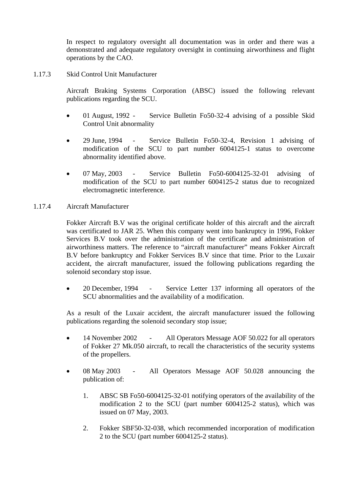In respect to regulatory oversight all documentation was in order and there was a demonstrated and adequate regulatory oversight in continuing airworthiness and flight operations by the CAO.

1.17.3 Skid Control Unit Manufacturer

Aircraft Braking Systems Corporation (ABSC) issued the following relevant publications regarding the SCU.

- 01 August, 1992 Service Bulletin Fo50-32-4 advising of a possible Skid Control Unit abnormality
- 29 June, 1994 Service Bulletin Fo50-32-4, Revision 1 advising of modification of the SCU to part number 6004125-1 status to overcome abnormality identified above.
- 07 May, 2003 Service Bulletin Fo50-6004125-32-01 advising of modification of the SCU to part number 6004125-2 status due to recognized electromagnetic interference.
- 1.17.4 Aircraft Manufacturer

Fokker Aircraft B.V was the original certificate holder of this aircraft and the aircraft was certificated to JAR 25. When this company went into bankruptcy in 1996, Fokker Services B.V took over the administration of the certificate and administration of airworthiness matters. The reference to "aircraft manufacturer" means Fokker Aircraft B.V before bankruptcy and Fokker Services B.V since that time. Prior to the Luxair accident, the aircraft manufacturer, issued the following publications regarding the solenoid secondary stop issue.

• 20 December, 1994 - Service Letter 137 informing all operators of the SCU abnormalities and the availability of a modification.

As a result of the Luxair accident, the aircraft manufacturer issued the following publications regarding the solenoid secondary stop issue;

- 14 November 2002 All Operators Message AOF 50.022 for all operators of Fokker 27 Mk.050 aircraft, to recall the characteristics of the security systems of the propellers.
- 08 May 2003 All Operators Message AOF 50.028 announcing the publication of:
	- 1. ABSC SB Fo50-6004125-32-01 notifying operators of the availability of the modification 2 to the SCU (part number 6004125-2 status), which was issued on 07 May, 2003.
	- 2. Fokker SBF50-32-038, which recommended incorporation of modification 2 to the SCU (part number 6004125-2 status).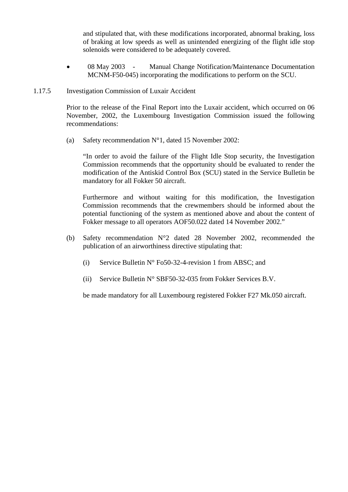and stipulated that, with these modifications incorporated, abnormal braking, loss of braking at low speeds as well as unintended energizing of the flight idle stop solenoids were considered to be adequately covered.

• 08 May 2003 - Manual Change Notification/Maintenance Documentation MCNM-F50-045) incorporating the modifications to perform on the SCU.

#### 1.17.5 Investigation Commission of Luxair Accident

Prior to the release of the Final Report into the Luxair accident, which occurred on 06 November, 2002, the Luxembourg Investigation Commission issued the following recommendations:

(a) Safety recommendation  $N^{\circ}1$ , dated 15 November 2002:

"In order to avoid the failure of the Flight Idle Stop security, the Investigation Commission recommends that the opportunity should be evaluated to render the modification of the Antiskid Control Box (SCU) stated in the Service Bulletin be mandatory for all Fokker 50 aircraft.

Furthermore and without waiting for this modification, the Investigation Commission recommends that the crewmembers should be informed about the potential functioning of the system as mentioned above and about the content of Fokker message to all operators AOF50.022 dated 14 November 2002."

- (b) Safety recommendation N°2 dated 28 November 2002, recommended the publication of an airworthiness directive stipulating that:
	- (i) Service Bulletin  $N^{\circ}$  Fo50-32-4-revision 1 from ABSC; and
	- (ii) Service Bulletin N° SBF50-32-035 from Fokker Services B.V.

be made mandatory for all Luxembourg registered Fokker F27 Mk.050 aircraft.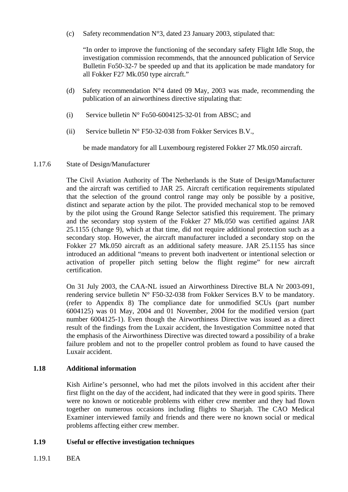(c) Safety recommendation  $N^{\circ}3$ , dated 23 January 2003, stipulated that:

"In order to improve the functioning of the secondary safety Flight Idle Stop, the investigation commission recommends, that the announced publication of Service Bulletin Fo50-32-7 be speeded up and that its application be made mandatory for all Fokker F27 Mk.050 type aircraft."

- (d) Safety recommendation  $N^{\circ}4$  dated 09 May, 2003 was made, recommending the publication of an airworthiness directive stipulating that:
- (i) Service bulletin  $N^{\circ}$  Fo50-6004125-32-01 from ABSC; and
- (ii) Service bulletin  $N^{\circ}$  F50-32-038 from Fokker Services B.V.,

be made mandatory for all Luxembourg registered Fokker 27 Mk.050 aircraft.

#### 1.17.6 State of Design/Manufacturer

The Civil Aviation Authority of The Netherlands is the State of Design/Manufacturer and the aircraft was certified to JAR 25. Aircraft certification requirements stipulated that the selection of the ground control range may only be possible by a positive, distinct and separate action by the pilot. The provided mechanical stop to be removed by the pilot using the Ground Range Selector satisfied this requirement. The primary and the secondary stop system of the Fokker 27 Mk.050 was certified against JAR 25.1155 (change 9), which at that time, did not require additional protection such as a secondary stop. However, the aircraft manufacturer included a secondary stop on the Fokker 27 Mk.050 aircraft as an additional safety measure. JAR 25.1155 has since introduced an additional "means to prevent both inadvertent or intentional selection or activation of propeller pitch setting below the flight regime" for new aircraft certification.

On 31 July 2003, the CAA-NL issued an Airworthiness Directive BLA Nr 2003-091, rendering service bulletin  $N^{\circ}$  F50-32-038 from Fokker Services B.V to be mandatory. (refer to Appendix 8) The compliance date for unmodified SCUs (part number 6004125) was 01 May, 2004 and 01 November, 2004 for the modified version (part number 6004125-1). Even though the Airworthiness Directive was issued as a direct result of the findings from the Luxair accident, the Investigation Committee noted that the emphasis of the Airworthiness Directive was directed toward a possibility of a brake failure problem and not to the propeller control problem as found to have caused the Luxair accident.

#### **1.18 Additional information**

 Kish Airline's personnel, who had met the pilots involved in this accident after their first flight on the day of the accident, had indicated that they were in good spirits. There were no known or noticeable problems with either crew member and they had flown together on numerous occasions including flights to Sharjah. The CAO Medical Examiner interviewed family and friends and there were no known social or medical problems affecting either crew member.

# **1.19 Useful or effective investigation techniques**

1.19.1 BEA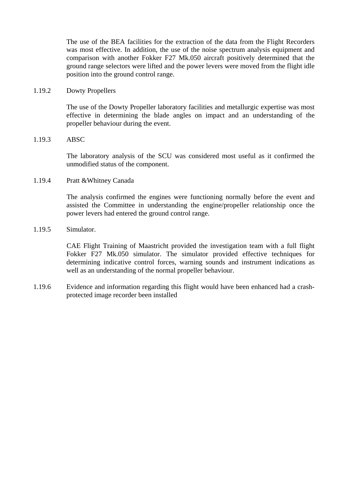The use of the BEA facilities for the extraction of the data from the Flight Recorders was most effective. In addition, the use of the noise spectrum analysis equipment and comparison with another Fokker F27 Mk.050 aircraft positively determined that the ground range selectors were lifted and the power levers were moved from the flight idle position into the ground control range.

1.19.2 Dowty Propellers

The use of the Dowty Propeller laboratory facilities and metallurgic expertise was most effective in determining the blade angles on impact and an understanding of the propeller behaviour during the event.

#### 1.19.3 ABSC

The laboratory analysis of the SCU was considered most useful as it confirmed the unmodified status of the component.

#### 1.19.4 Pratt &Whitney Canada

The analysis confirmed the engines were functioning normally before the event and assisted the Committee in understanding the engine/propeller relationship once the power levers had entered the ground control range.

#### 1.19.5 Simulator.

CAE Flight Training of Maastricht provided the investigation team with a full flight Fokker F27 Mk.050 simulator. The simulator provided effective techniques for determining indicative control forces, warning sounds and instrument indications as well as an understanding of the normal propeller behaviour.

1.19.6 Evidence and information regarding this flight would have been enhanced had a crashprotected image recorder been installed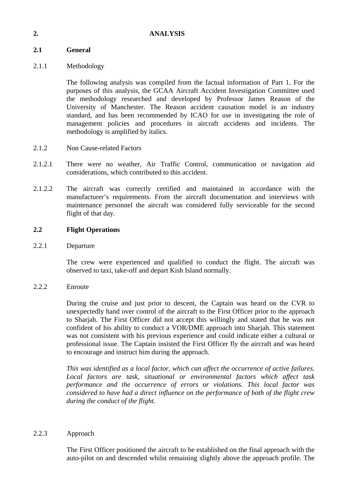#### **2. ANALYSIS**

# **2.1 General**

# 2.1.1 Methodology

The following analysis was compiled from the factual information of Part 1. For the purposes of this analysis, the GCAA Aircraft Accident Investigation Committee used the methodology researched and developed by Professor James Reason of the University of Manchester. The Reason accident causation model is an industry standard, and has been recommended by ICAO for use in investigating the role of management policies and procedures in aircraft accidents and incidents. The methodology is amplified by italics.

- 2.1.2 Non Cause-related Factors
- 2.1.2.1 There were no weather, Air Traffic Control, communication or navigation aid considerations, which contributed to this accident.
- 2.1.2.2 The aircraft was correctly certified and maintained in accordance with the manufacturer's requirements. From the aircraft documentation and interviews with maintenance personnel the aircraft was considered fully serviceable for the second flight of that day.

#### **2.2 Flight Operations**

2.2.1 Departure

The crew were experienced and qualified to conduct the flight. The aircraft was observed to taxi, take-off and depart Kish Island normally.

2.2.2 Enroute

During the cruise and just prior to descent, the Captain was heard on the CVR to unexpectedly hand over control of the aircraft to the First Officer prior to the approach to Sharjah. The First Officer did not accept this willingly and stated that he was not confident of his ability to conduct a VOR/DME approach into Sharjah. This statement was not consistent with his previous experience and could indicate either a cultural or professional issue. The Captain insisted the First Officer fly the aircraft and was heard to encourage and instruct him during the approach.

*This was identified as a local factor, which can affect the occurrence of active failures. Local factors are task, situational or environmental factors which affect task performance and the occurrence of errors or violations. This local factor was considered to have had a direct influence on the performance of both of the flight crew during the conduct of the flight.* 

#### 2.2.3 Approach

The First Officer positioned the aircraft to be established on the final approach with the auto-pilot on and descended whilst remaining slightly above the approach profile. The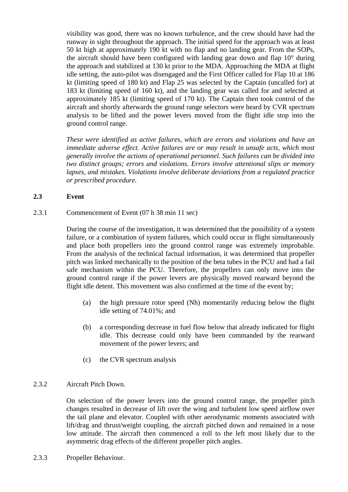visibility was good, there was no known turbulence, and the crew should have had the runway in sight throughout the approach. The initial speed for the approach was at least 50 kt high at approximately 190 kt with no flap and no landing gear. From the SOPs, the aircraft should have been configured with landing gear down and flap 10° during the approach and stabilized at 130 kt prior to the MDA. Approaching the MDA at flight idle setting, the auto-pilot was disengaged and the First Officer called for Flap 10 at 186 kt (limiting speed of 180 kt) and Flap 25 was selected by the Captain (uncalled for) at 183 kt (limiting speed of 160 kt), and the landing gear was called for and selected at approximately 185 kt (limiting speed of 170 kt). The Captain then took control of the aircraft and shortly afterwards the ground range selectors were heard by CVR spectrum analysis to be lifted and the power levers moved from the flight idle stop into the ground control range.

*These were identified as active failures, which are errors and violations and have an immediate adverse effect. Active failures are or may result in unsafe acts, which most generally involve the actions of operational personnel. Such failures can be divided into two distinct groups; errors and violations. Errors involve attentional slips or memory lapses, and mistakes. Violations involve deliberate deviations from a regulated practice or prescribed procedure.* 

#### **2.3 Event**

2.3.1 Commencement of Event (07 h 38 min 11 sec)

During the course of the investigation, it was determined that the possibility of a system failure, or a combination of system failures, which could occur in flight simultaneously and place both propellers into the ground control range was extremely improbable. From the analysis of the technical factual information, it was determined that propeller pitch was linked mechanically to the position of the beta tubes in the PCU and had a fail safe mechanism within the PCU. Therefore, the propellers can only move into the ground control range if the power levers are physically moved rearward beyond the flight idle detent. This movement was also confirmed at the time of the event by;

- (a) the high pressure rotor speed (Nh) momentarily reducing below the flight idle setting of 74.01%; and
- (b) a corresponding decrease in fuel flow below that already indicated for flight idle. This decrease could only have been commanded by the rearward movement of the power levers; and
- (c) the CVR spectrum analysis

# 2.3.2 Aircraft Pitch Down.

On selection of the power levers into the ground control range, the propeller pitch changes resulted in decrease of lift over the wing and turbulent low speed airflow over the tail plane and elevator. Coupled with other aerodynamic moments associated with lift/drag and thrust/weight coupling, the aircraft pitched down and remained in a nose low attitude. The aircraft then commenced a roll to the left most likely due to the asymmetric drag effects of the different propeller pitch angles.

2.3.3 Propeller Behaviour.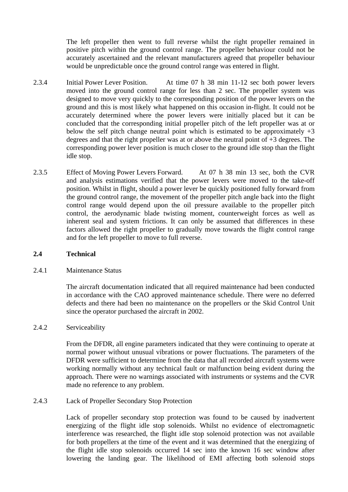The left propeller then went to full reverse whilst the right propeller remained in positive pitch within the ground control range. The propeller behaviour could not be accurately ascertained and the relevant manufacturers agreed that propeller behaviour would be unpredictable once the ground control range was entered in flight.

- 2.3.4 Initial Power Lever Position. At time 07 h 38 min 11-12 sec both power levers moved into the ground control range for less than 2 sec. The propeller system was designed to move very quickly to the corresponding position of the power levers on the ground and this is most likely what happened on this occasion in-flight. It could not be accurately determined where the power levers were initially placed but it can be concluded that the corresponding initial propeller pitch of the left propeller was at or below the self pitch change neutral point which is estimated to be approximately  $+3$ degrees and that the right propeller was at or above the neutral point of +3 degrees. The corresponding power lever position is much closer to the ground idle stop than the flight idle stop.
- 2.3.5 Effect of Moving Power Levers Forward. At 07 h 38 min 13 sec, both the CVR and analysis estimations verified that the power levers were moved to the take-off position. Whilst in flight, should a power lever be quickly positioned fully forward from the ground control range, the movement of the propeller pitch angle back into the flight control range would depend upon the oil pressure available to the propeller pitch control, the aerodynamic blade twisting moment, counterweight forces as well as inherent seal and system frictions. It can only be assumed that differences in these factors allowed the right propeller to gradually move towards the flight control range and for the left propeller to move to full reverse.

#### **2.4 Technical**

#### 2.4.1 Maintenance Status

The aircraft documentation indicated that all required maintenance had been conducted in accordance with the CAO approved maintenance schedule. There were no deferred defects and there had been no maintenance on the propellers or the Skid Control Unit since the operator purchased the aircraft in 2002.

#### 2.4.2 Serviceability

From the DFDR, all engine parameters indicated that they were continuing to operate at normal power without unusual vibrations or power fluctuations. The parameters of the DFDR were sufficient to determine from the data that all recorded aircraft systems were working normally without any technical fault or malfunction being evident during the approach. There were no warnings associated with instruments or systems and the CVR made no reference to any problem.

#### 2.4.3 Lack of Propeller Secondary Stop Protection

Lack of propeller secondary stop protection was found to be caused by inadvertent energizing of the flight idle stop solenoids. Whilst no evidence of electromagnetic interference was researched, the flight idle stop solenoid protection was not available for both propellers at the time of the event and it was determined that the energizing of the flight idle stop solenoids occurred 14 sec into the known 16 sec window after lowering the landing gear. The likelihood of EMI affecting both solenoid stops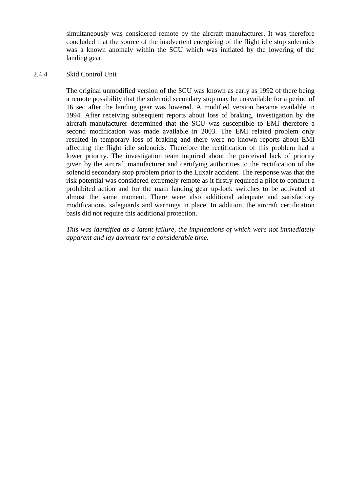simultaneously was considered remote by the aircraft manufacturer. It was therefore concluded that the source of the inadvertent energizing of the flight idle stop solenoids was a known anomaly within the SCU which was initiated by the lowering of the landing gear.

#### 2.4.4 Skid Control Unit

The original unmodified version of the SCU was known as early as 1992 of there being a remote possibility that the solenoid secondary stop may be unavailable for a period of 16 sec after the landing gear was lowered. A modified version became available in 1994. After receiving subsequent reports about loss of braking, investigation by the aircraft manufacturer determined that the SCU was susceptible to EMI therefore a second modification was made available in 2003. The EMI related problem only resulted in temporary loss of braking and there were no known reports about EMI affecting the flight idle solenoids. Therefore the rectification of this problem had a lower priority. The investigation team inquired about the perceived lack of priority given by the aircraft manufacturer and certifying authorities to the rectification of the solenoid secondary stop problem prior to the Luxair accident. The response was that the risk potential was considered extremely remote as it firstly required a pilot to conduct a prohibited action and for the main landing gear up-lock switches to be activated at almost the same moment. There were also additional adequate and satisfactory modifications, safeguards and warnings in place. In addition, the aircraft certification basis did not require this additional protection.

*This was identified as a latent failure, the implications of which were not immediately apparent and lay dormant for a considerable time.*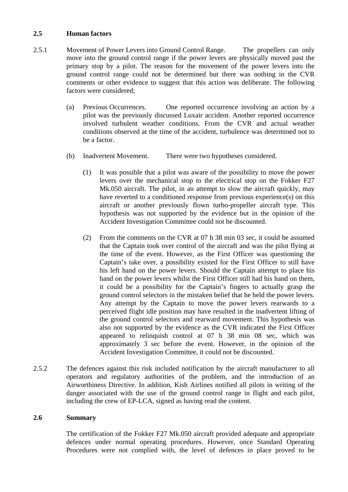#### **2.5 Human factors**

- 2.5.1 Movement of Power Levers into Ground Control Range. The propellers can only move into the ground control range if the power levers are physically moved past the primary stop by a pilot. The reason for the movement of the power levers into the ground control range could not be determined but there was nothing in the CVR comments or other evidence to suggest that this action was deliberate. The following factors were considered;
	- (a) Previous Occurrences. One reported occurrence involving an action by a pilot was the previously discussed Luxair accident. Another reported occurrence involved turbulent weather conditions. From the CVR and actual weather conditions observed at the time of the accident, turbulence was determined not to be a factor.
	- (b) Inadvertent Movement. There were two hypotheses considered.
		- (1) It was possible that a pilot was aware of the possibility to move the power levers over the mechanical stop to the electrical stop on the Fokker F27 Mk.050 aircraft. The pilot, in an attempt to slow the aircraft quickly, may have reverted to a conditioned response from previous experience(s) on this aircraft or another previously flown turbo-propeller aircraft type. This hypothesis was not supported by the evidence but in the opinion of the Accident Investigation Committee could not be discounted.
		- (2) From the comments on the CVR at 07 h 38 min 03 sec, it could be assumed that the Captain took over control of the aircraft and was the pilot flying at the time of the event. However, as the First Officer was questioning the Captain's take over, a possibility existed for the First Officer to still have his left hand on the power levers. Should the Captain attempt to place his hand on the power levers whilst the First Officer still had his hand on them, it could be a possibility for the Captain's fingers to actually grasp the ground control selectors in the mistaken belief that he held the power levers. Any attempt by the Captain to move the power levers rearwards to a perceived flight idle position may have resulted in the inadvertent lifting of the ground control selectors and rearward movement. This hypothesis was also not supported by the evidence as the CVR indicated the First Officer appeared to relinquish control at 07 h 38 min 08 sec, which was approximately 3 sec before the event. However, in the opinion of the Accident Investigation Committee, it could not be discounted.
- 2.5.2 The defences against this risk included notification by the aircraft manufacturer to all operators and regulatory authorities of the problem, and the introduction of an Airworthiness Directive. In addition, Kish Airlines notified all pilots in writing of the danger associated with the use of the ground control range in flight and each pilot, including the crew of EP-LCA, signed as having read the content.

#### **2.6 Summary**

The certification of the Fokker F27 Mk.050 aircraft provided adequate and appropriate defences under normal operating procedures. However, once Standard Operating Procedures were not complied with, the level of defences in place proved to be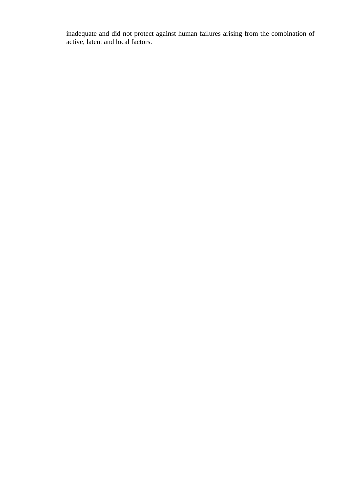inadequate and did not protect against human failures arising from the combination of active, latent and local factors.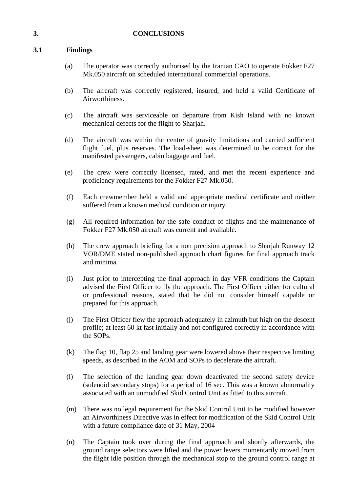#### **3. CONCLUSIONS**

# **3.1 Findings**

- (a) The operator was correctly authorised by the Iranian CAO to operate Fokker F27 Mk.050 aircraft on scheduled international commercial operations.
- (b) The aircraft was correctly registered, insured, and held a valid Certificate of Airworthiness.
- (c) The aircraft was serviceable on departure from Kish Island with no known mechanical defects for the flight to Sharjah.
- (d) The aircraft was within the centre of gravity limitations and carried sufficient flight fuel, plus reserves. The load-sheet was determined to be correct for the manifested passengers, cabin baggage and fuel.
- (e) The crew were correctly licensed, rated, and met the recent experience and proficiency requirements for the Fokker F27 Mk.050.
- (f) Each crewmember held a valid and appropriate medical certificate and neither suffered from a known medical condition or injury.
- (g) All required information for the safe conduct of flights and the maintenance of Fokker F27 Mk.050 aircraft was current and available.
- (h) The crew approach briefing for a non precision approach to Sharjah Runway 12 VOR/DME stated non-published approach chart figures for final approach track and minima.
- (i) Just prior to intercepting the final approach in day VFR conditions the Captain advised the First Officer to fly the approach. The First Officer either for cultural or professional reasons, stated that he did not consider himself capable or prepared for this approach.
- (j) The First Officer flew the approach adequately in azimuth but high on the descent profile; at least 60 kt fast initially and not configured correctly in accordance with the SOPs.
- (k) The flap 10, flap 25 and landing gear were lowered above their respective limiting speeds, as described in the AOM and SOPs to decelerate the aircraft.
- (l) The selection of the landing gear down deactivated the second safety device (solenoid secondary stops) for a period of 16 sec. This was a known abnormality associated with an unmodified Skid Control Unit as fitted to this aircraft.
- (m) There was no legal requirement for the Skid Control Unit to be modified however an Airworthiness Directive was in effect for modification of the Skid Control Unit with a future compliance date of 31 May, 2004
- (n) The Captain took over during the final approach and shortly afterwards, the ground range selectors were lifted and the power levers momentarily moved from the flight idle position through the mechanical stop to the ground control range at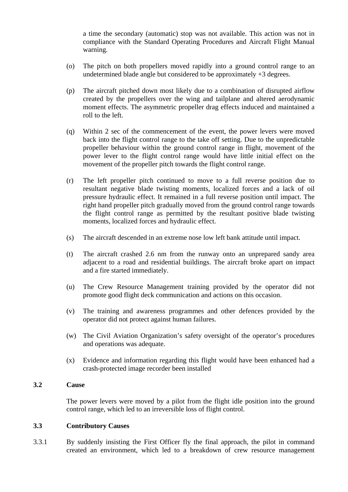a time the secondary (automatic) stop was not available. This action was not in compliance with the Standard Operating Procedures and Aircraft Flight Manual warning.

- (o) The pitch on both propellers moved rapidly into a ground control range to an undetermined blade angle but considered to be approximately  $+3$  degrees.
- (p) The aircraft pitched down most likely due to a combination of disrupted airflow created by the propellers over the wing and tailplane and altered aerodynamic moment effects. The asymmetric propeller drag effects induced and maintained a roll to the left.
- (q) Within 2 sec of the commencement of the event, the power levers were moved back into the flight control range to the take off setting. Due to the unpredictable propeller behaviour within the ground control range in flight, movement of the power lever to the flight control range would have little initial effect on the movement of the propeller pitch towards the flight control range.
- (r) The left propeller pitch continued to move to a full reverse position due to resultant negative blade twisting moments, localized forces and a lack of oil pressure hydraulic effect. It remained in a full reverse position until impact. The right hand propeller pitch gradually moved from the ground control range towards the flight control range as permitted by the resultant positive blade twisting moments, localized forces and hydraulic effect.
- (s) The aircraft descended in an extreme nose low left bank attitude until impact.
- (t) The aircraft crashed 2.6 nm from the runway onto an unprepared sandy area adjacent to a road and residential buildings. The aircraft broke apart on impact and a fire started immediately.
- (u) The Crew Resource Management training provided by the operator did not promote good flight deck communication and actions on this occasion.
- (v) The training and awareness programmes and other defences provided by the operator did not protect against human failures.
- (w) The Civil Aviation Organization's safety oversight of the operator's procedures and operations was adequate.
- (x) Evidence and information regarding this flight would have been enhanced had a crash-protected image recorder been installed

#### **3.2 Cause**

The power levers were moved by a pilot from the flight idle position into the ground control range, which led to an irreversible loss of flight control.

#### **3.3 Contributory Causes**

3.3.1 By suddenly insisting the First Officer fly the final approach, the pilot in command created an environment, which led to a breakdown of crew resource management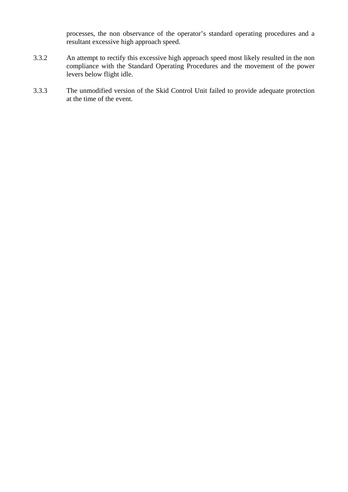processes, the non observance of the operator's standard operating procedures and a resultant excessive high approach speed.

- 3.3.2 An attempt to rectify this excessive high approach speed most likely resulted in the non compliance with the Standard Operating Procedures and the movement of the power levers below flight idle.
- 3.3.3 The unmodified version of the Skid Control Unit failed to provide adequate protection at the time of the event.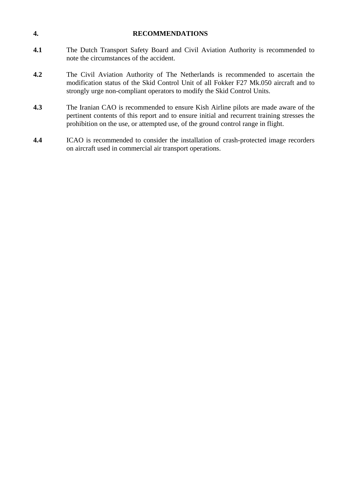| $\overline{4}$ . | <b>RECOMMENDATIONS</b>                                                                                                                                                                                                                                                |
|------------------|-----------------------------------------------------------------------------------------------------------------------------------------------------------------------------------------------------------------------------------------------------------------------|
| 4.1              | The Dutch Transport Safety Board and Civil Aviation Authority is recommended to<br>note the circumstances of the accident.                                                                                                                                            |
| 4.2              | The Civil Aviation Authority of The Netherlands is recommended to ascertain the<br>modification status of the Skid Control Unit of all Fokker F27 Mk.050 aircraft and to<br>strongly urge non-compliant operators to modify the Skid Control Units.                   |
| 4.3              | The Iranian CAO is recommended to ensure Kish Airline pilots are made aware of the<br>pertinent contents of this report and to ensure initial and recurrent training stresses the<br>prohibition on the use, or attempted use, of the ground control range in flight. |
| 4.4              | ICAO is recommended to consider the installation of crash-protected image recorders<br>on aircraft used in commercial air transport operations.                                                                                                                       |